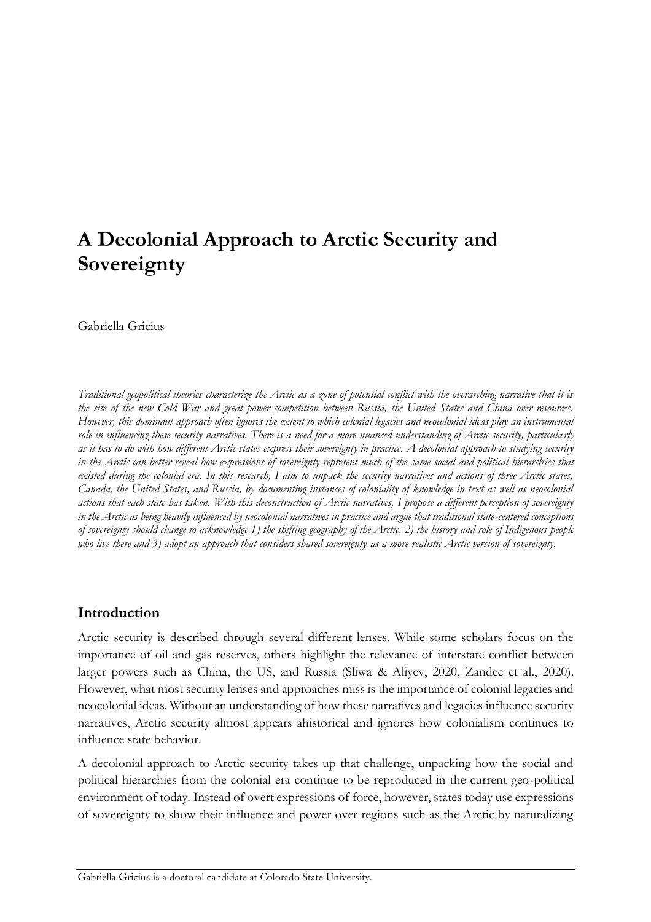# **A Decolonial Approach to Arctic Security and Sovereignty**

Gabriella Gricius

*Traditional geopolitical theories characterize the Arctic as a zone of potential conflict with the overarching narrative that it is the site of the new Cold War and great power competition between Russia, the United States and China over resources. However, this dominant approach often ignores the extent to which colonial legacies and neocolonial ideas play an instrumental role in influencing these security narratives. There is a need for a more nuanced understanding of Arctic security, particula rly as it has to do with how different Arctic states express their sovereignty in practice. A decolonial approach to studying security in the Arctic can better reveal how expressions of sovereignty represent much of the same social and political hierarchies that existed during the colonial era. In this research, I aim to unpack the security narratives and actions of three Arctic states, Canada, the United States, and Russia, by documenting instances of coloniality of knowledge in text as well as neocolonial actions that each state has taken. With this deconstruction of Arctic narratives, I propose a different perception of sovereignty in the Arctic as being heavily influenced by neocolonial narratives in practice and argue that traditional state-centered conceptions of sovereignty should change to acknowledge 1) the shifting geography of the Arctic, 2) the history and role of Indigenous people*  who live there and 3) adopt an approach that considers shared sovereignty as a more realistic Arctic version of sovereignty.

# **Introduction**

Arctic security is described through several different lenses. While some scholars focus on the importance of oil and gas reserves, others highlight the relevance of interstate conflict between larger powers such as China, the US, and Russia (Sliwa & Aliyev, 2020, Zandee et al., 2020). However, what most security lenses and approaches miss is the importance of colonial legacies and neocolonial ideas. Without an understanding of how these narratives and legacies influence security narratives, Arctic security almost appears ahistorical and ignores how colonialism continues to influence state behavior.

A decolonial approach to Arctic security takes up that challenge, unpacking how the social and political hierarchies from the colonial era continue to be reproduced in the current geo-political environment of today. Instead of overt expressions of force, however, states today use expressions of sovereignty to show their influence and power over regions such as the Arctic by naturalizing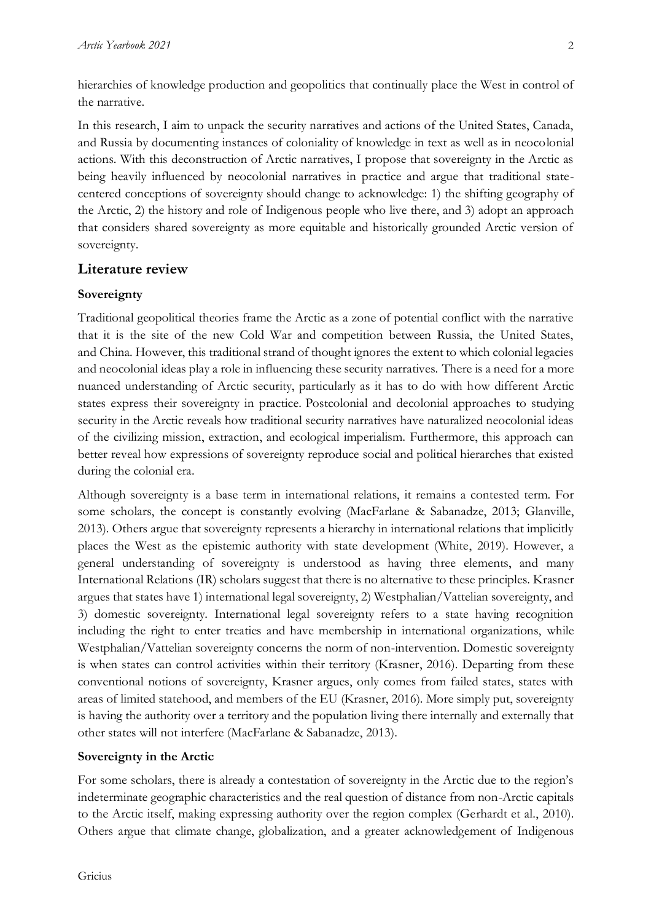hierarchies of knowledge production and geopolitics that continually place the West in control of the narrative.

In this research, I aim to unpack the security narratives and actions of the United States, Canada, and Russia by documenting instances of coloniality of knowledge in text as well as in neocolonial actions. With this deconstruction of Arctic narratives, I propose that sovereignty in the Arctic as being heavily influenced by neocolonial narratives in practice and argue that traditional statecentered conceptions of sovereignty should change to acknowledge: 1) the shifting geography of the Arctic, 2) the history and role of Indigenous people who live there, and 3) adopt an approach that considers shared sovereignty as more equitable and historically grounded Arctic version of sovereignty.

### **Literature review**

### **Sovereignty**

Traditional geopolitical theories frame the Arctic as a zone of potential conflict with the narrative that it is the site of the new Cold War and competition between Russia, the United States, and China. However, this traditional strand of thought ignores the extent to which colonial legacies and neocolonial ideas play a role in influencing these security narratives. There is a need for a more nuanced understanding of Arctic security, particularly as it has to do with how different Arctic states express their sovereignty in practice. Postcolonial and decolonial approaches to studying security in the Arctic reveals how traditional security narratives have naturalized neocolonial ideas of the civilizing mission, extraction, and ecological imperialism. Furthermore, this approach can better reveal how expressions of sovereignty reproduce social and political hierarches that existed during the colonial era.

Although sovereignty is a base term in international relations, it remains a contested term. For some scholars, the concept is constantly evolving (MacFarlane & Sabanadze, 2013; Glanville, 2013). Others argue that sovereignty represents a hierarchy in international relations that implicitly places the West as the epistemic authority with state development (White, 2019). However, a general understanding of sovereignty is understood as having three elements, and many International Relations (IR) scholars suggest that there is no alternative to these principles. Krasner argues that states have 1) international legal sovereignty, 2) Westphalian/Vattelian sovereignty, and 3) domestic sovereignty. International legal sovereignty refers to a state having recognition including the right to enter treaties and have membership in international organizations, while Westphalian/Vattelian sovereignty concerns the norm of non-intervention. Domestic sovereignty is when states can control activities within their territory (Krasner, 2016). Departing from these conventional notions of sovereignty, Krasner argues, only comes from failed states, states with areas of limited statehood, and members of the EU (Krasner, 2016). More simply put, sovereignty is having the authority over a territory and the population living there internally and externally that other states will not interfere (MacFarlane & Sabanadze, 2013).

### **Sovereignty in the Arctic**

For some scholars, there is already a contestation of sovereignty in the Arctic due to the region's indeterminate geographic characteristics and the real question of distance from non-Arctic capitals to the Arctic itself, making expressing authority over the region complex (Gerhardt et al., 2010). Others argue that climate change, globalization, and a greater acknowledgement of Indigenous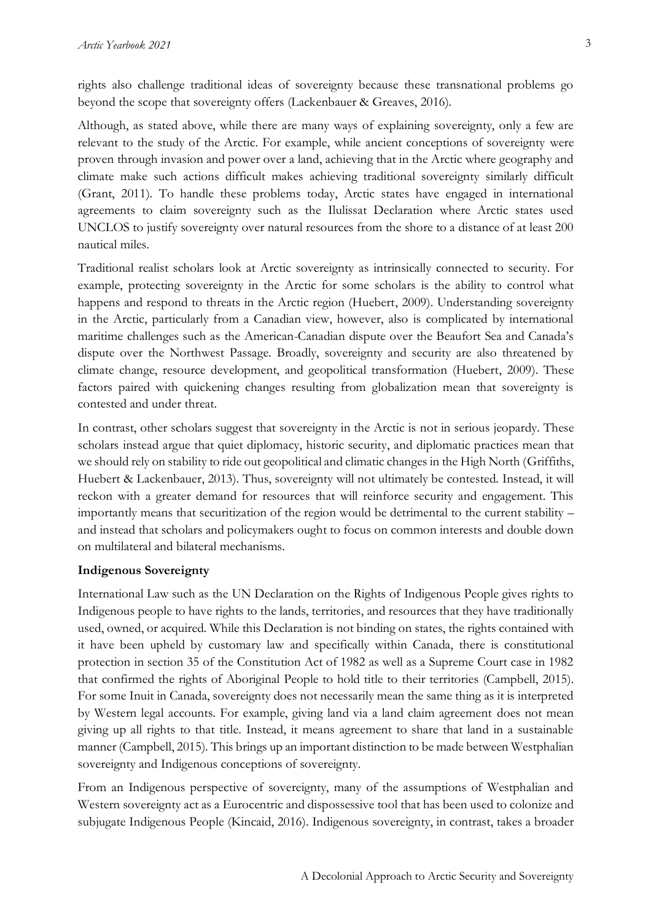rights also challenge traditional ideas of sovereignty because these transnational problems go beyond the scope that sovereignty offers (Lackenbauer & Greaves, 2016).

Although, as stated above, while there are many ways of explaining sovereignty, only a few are relevant to the study of the Arctic. For example, while ancient conceptions of sovereignty were proven through invasion and power over a land, achieving that in the Arctic where geography and climate make such actions difficult makes achieving traditional sovereignty similarly difficult (Grant, 2011). To handle these problems today, Arctic states have engaged in international agreements to claim sovereignty such as the Ilulissat Declaration where Arctic states used UNCLOS to justify sovereignty over natural resources from the shore to a distance of at least 200 nautical miles.

Traditional realist scholars look at Arctic sovereignty as intrinsically connected to security. For example, protecting sovereignty in the Arctic for some scholars is the ability to control what happens and respond to threats in the Arctic region (Huebert, 2009). Understanding sovereignty in the Arctic, particularly from a Canadian view, however, also is complicated by international maritime challenges such as the American-Canadian dispute over the Beaufort Sea and Canada's dispute over the Northwest Passage. Broadly, sovereignty and security are also threatened by climate change, resource development, and geopolitical transformation (Huebert, 2009). These factors paired with quickening changes resulting from globalization mean that sovereignty is contested and under threat.

In contrast, other scholars suggest that sovereignty in the Arctic is not in serious jeopardy. These scholars instead argue that quiet diplomacy, historic security, and diplomatic practices mean that we should rely on stability to ride out geopolitical and climatic changes in the High North (Griffiths, Huebert & Lackenbauer, 2013). Thus, sovereignty will not ultimately be contested. Instead, it will reckon with a greater demand for resources that will reinforce security and engagement. This importantly means that securitization of the region would be detrimental to the current stability – and instead that scholars and policymakers ought to focus on common interests and double down on multilateral and bilateral mechanisms.

#### **Indigenous Sovereignty**

International Law such as the UN Declaration on the Rights of Indigenous People gives rights to Indigenous people to have rights to the lands, territories, and resources that they have traditionally used, owned, or acquired. While this Declaration is not binding on states, the rights contained with it have been upheld by customary law and specifically within Canada, there is constitutional protection in section 35 of the Constitution Act of 1982 as well as a Supreme Court case in 1982 that confirmed the rights of Aboriginal People to hold title to their territories (Campbell, 2015). For some Inuit in Canada, sovereignty does not necessarily mean the same thing as it is interpreted by Western legal accounts. For example, giving land via a land claim agreement does not mean giving up all rights to that title. Instead, it means agreement to share that land in a sustainable manner (Campbell, 2015). This brings up an important distinction to be made between Westphalian sovereignty and Indigenous conceptions of sovereignty.

From an Indigenous perspective of sovereignty, many of the assumptions of Westphalian and Western sovereignty act as a Eurocentric and dispossessive tool that has been used to colonize and subjugate Indigenous People (Kincaid, 2016). Indigenous sovereignty, in contrast, takes a broader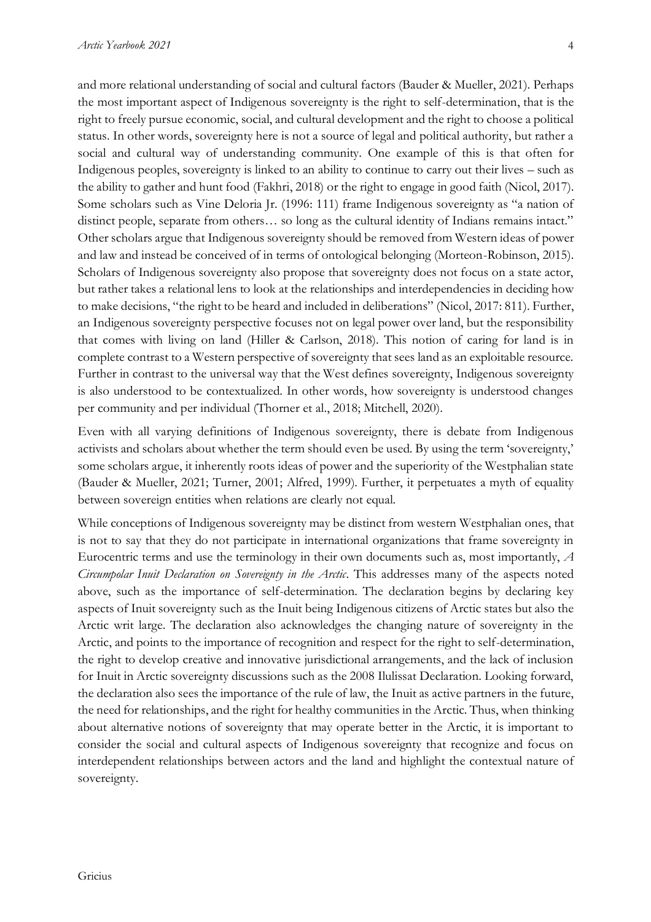and more relational understanding of social and cultural factors (Bauder & Mueller, 2021). Perhaps the most important aspect of Indigenous sovereignty is the right to self-determination, that is the right to freely pursue economic, social, and cultural development and the right to choose a political status. In other words, sovereignty here is not a source of legal and political authority, but rather a social and cultural way of understanding community. One example of this is that often for Indigenous peoples, sovereignty is linked to an ability to continue to carry out their lives – such as the ability to gather and hunt food (Fakhri, 2018) or the right to engage in good faith (Nicol, 2017). Some scholars such as Vine Deloria Jr. (1996: 111) frame Indigenous sovereignty as "a nation of distinct people, separate from others… so long as the cultural identity of Indians remains intact." Other scholars argue that Indigenous sovereignty should be removed from Western ideas of power and law and instead be conceived of in terms of ontological belonging (Morteon-Robinson, 2015). Scholars of Indigenous sovereignty also propose that sovereignty does not focus on a state actor, but rather takes a relational lens to look at the relationships and interdependencies in deciding how to make decisions, "the right to be heard and included in deliberations" (Nicol, 2017: 811). Further, an Indigenous sovereignty perspective focuses not on legal power over land, but the responsibility that comes with living on land (Hiller & Carlson, 2018). This notion of caring for land is in complete contrast to a Western perspective of sovereignty that sees land as an exploitable resource. Further in contrast to the universal way that the West defines sovereignty, Indigenous sovereignty is also understood to be contextualized. In other words, how sovereignty is understood changes per community and per individual (Thorner et al., 2018; Mitchell, 2020).

Even with all varying definitions of Indigenous sovereignty, there is debate from Indigenous activists and scholars about whether the term should even be used. By using the term 'sovereignty,' some scholars argue, it inherently roots ideas of power and the superiority of the Westphalian state (Bauder & Mueller, 2021; Turner, 2001; Alfred, 1999). Further, it perpetuates a myth of equality between sovereign entities when relations are clearly not equal.

While conceptions of Indigenous sovereignty may be distinct from western Westphalian ones, that is not to say that they do not participate in international organizations that frame sovereignty in Eurocentric terms and use the terminology in their own documents such as, most importantly, *A Circumpolar Inuit Declaration on Sovereignty in the Arctic*. This addresses many of the aspects noted above, such as the importance of self-determination. The declaration begins by declaring key aspects of Inuit sovereignty such as the Inuit being Indigenous citizens of Arctic states but also the Arctic writ large. The declaration also acknowledges the changing nature of sovereignty in the Arctic, and points to the importance of recognition and respect for the right to self-determination, the right to develop creative and innovative jurisdictional arrangements, and the lack of inclusion for Inuit in Arctic sovereignty discussions such as the 2008 Ilulissat Declaration. Looking forward, the declaration also sees the importance of the rule of law, the Inuit as active partners in the future, the need for relationships, and the right for healthy communities in the Arctic. Thus, when thinking about alternative notions of sovereignty that may operate better in the Arctic, it is important to consider the social and cultural aspects of Indigenous sovereignty that recognize and focus on interdependent relationships between actors and the land and highlight the contextual nature of sovereignty.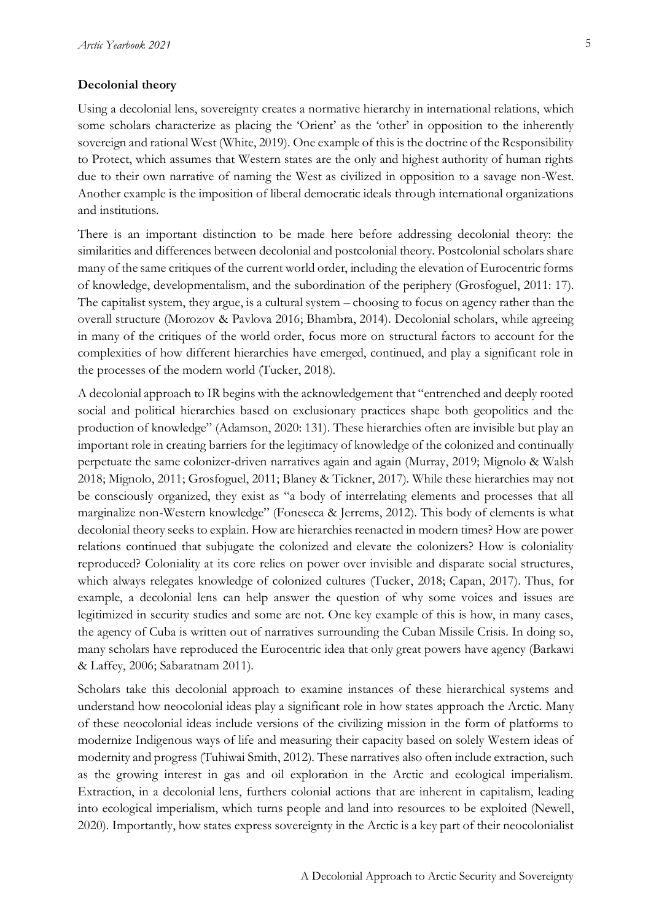#### **Decolonial theory**

Using a decolonial lens, sovereignty creates a normative hierarchy in international relations, which some scholars characterize as placing the 'Orient' as the 'other' in opposition to the inherently sovereign and rational West (White, 2019). One example of this is the doctrine of the Responsibility to Protect, which assumes that Western states are the only and highest authority of human rights due to their own narrative of naming the West as civilized in opposition to a savage non-West. Another example is the imposition of liberal democratic ideals through international organizations and institutions.

There is an important distinction to be made here before addressing decolonial theory: the similarities and differences between decolonial and postcolonial theory. Postcolonial scholars share many of the same critiques of the current world order, including the elevation of Eurocentric forms of knowledge, developmentalism, and the subordination of the periphery (Grosfoguel, 2011: 17). The capitalist system, they argue, is a cultural system – choosing to focus on agency rather than the overall structure (Morozov & Pavlova 2016; Bhambra, 2014). Decolonial scholars, while agreeing in many of the critiques of the world order, focus more on structural factors to account for the complexities of how different hierarchies have emerged, continued, and play a significant role in the processes of the modern world (Tucker, 2018).

A decolonial approach to IR begins with the acknowledgement that "entrenched and deeply rooted social and political hierarchies based on exclusionary practices shape both geopolitics and the production of knowledge" (Adamson, 2020: 131). These hierarchies often are invisible but play an important role in creating barriers for the legitimacy of knowledge of the colonized and continually perpetuate the same colonizer-driven narratives again and again (Murray, 2019; Mignolo & Walsh 2018; Mignolo, 2011; Grosfoguel, 2011; Blaney & Tickner, 2017). While these hierarchies may not be consciously organized, they exist as "a body of interrelating elements and processes that all marginalize non-Western knowledge" (Foneseca & Jerrems, 2012). This body of elements is what decolonial theory seeks to explain. How are hierarchies reenacted in modern times? How are power relations continued that subjugate the colonized and elevate the colonizers? How is coloniality reproduced? Coloniality at its core relies on power over invisible and disparate social structures, which always relegates knowledge of colonized cultures (Tucker, 2018; Capan, 2017). Thus, for example, a decolonial lens can help answer the question of why some voices and issues are legitimized in security studies and some are not. One key example of this is how, in many cases, the agency of Cuba is written out of narratives surrounding the Cuban Missile Crisis. In doing so, many scholars have reproduced the Eurocentric idea that only great powers have agency (Barkawi & Laffey, 2006; Sabaratnam 2011).

Scholars take this decolonial approach to examine instances of these hierarchical systems and understand how neocolonial ideas play a significant role in how states approach the Arctic. Many of these neocolonial ideas include versions of the civilizing mission in the form of platforms to modernize Indigenous ways of life and measuring their capacity based on solely Western ideas of modernity and progress (Tuhiwai Smith, 2012). These narratives also often include extraction, such as the growing interest in gas and oil exploration in the Arctic and ecological imperialism. Extraction, in a decolonial lens, furthers colonial actions that are inherent in capitalism, leading into ecological imperialism, which turns people and land into resources to be exploited (Newell, 2020). Importantly, how states express sovereignty in the Arctic is a key part of their neocolonialist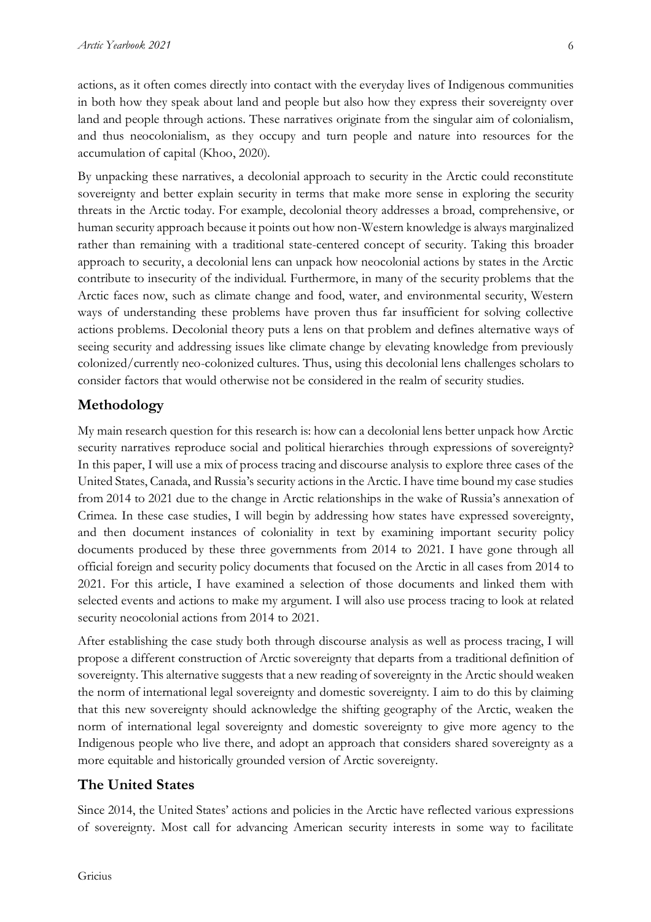6

actions, as it often comes directly into contact with the everyday lives of Indigenous communities in both how they speak about land and people but also how they express their sovereignty over land and people through actions. These narratives originate from the singular aim of colonialism, and thus neocolonialism, as they occupy and turn people and nature into resources for the accumulation of capital (Khoo, 2020).

By unpacking these narratives, a decolonial approach to security in the Arctic could reconstitute sovereignty and better explain security in terms that make more sense in exploring the security threats in the Arctic today. For example, decolonial theory addresses a broad, comprehensive, or human security approach because it points out how non-Western knowledge is always marginalized rather than remaining with a traditional state-centered concept of security. Taking this broader approach to security, a decolonial lens can unpack how neocolonial actions by states in the Arctic contribute to insecurity of the individual. Furthermore, in many of the security problems that the Arctic faces now, such as climate change and food, water, and environmental security, Western ways of understanding these problems have proven thus far insufficient for solving collective actions problems. Decolonial theory puts a lens on that problem and defines alternative ways of seeing security and addressing issues like climate change by elevating knowledge from previously colonized/currently neo-colonized cultures. Thus, using this decolonial lens challenges scholars to consider factors that would otherwise not be considered in the realm of security studies.

# **Methodology**

My main research question for this research is: how can a decolonial lens better unpack how Arctic security narratives reproduce social and political hierarchies through expressions of sovereignty? In this paper, I will use a mix of process tracing and discourse analysis to explore three cases of the United States, Canada, and Russia's security actions in the Arctic. I have time bound my case studies from 2014 to 2021 due to the change in Arctic relationships in the wake of Russia's annexation of Crimea. In these case studies, I will begin by addressing how states have expressed sovereignty, and then document instances of coloniality in text by examining important security policy documents produced by these three governments from 2014 to 2021. I have gone through all official foreign and security policy documents that focused on the Arctic in all cases from 2014 to 2021. For this article, I have examined a selection of those documents and linked them with selected events and actions to make my argument. I will also use process tracing to look at related security neocolonial actions from 2014 to 2021.

After establishing the case study both through discourse analysis as well as process tracing, I will propose a different construction of Arctic sovereignty that departs from a traditional definition of sovereignty. This alternative suggests that a new reading of sovereignty in the Arctic should weaken the norm of international legal sovereignty and domestic sovereignty. I aim to do this by claiming that this new sovereignty should acknowledge the shifting geography of the Arctic, weaken the norm of international legal sovereignty and domestic sovereignty to give more agency to the Indigenous people who live there, and adopt an approach that considers shared sovereignty as a more equitable and historically grounded version of Arctic sovereignty.

# **The United States**

Since 2014, the United States' actions and policies in the Arctic have reflected various expressions of sovereignty. Most call for advancing American security interests in some way to facilitate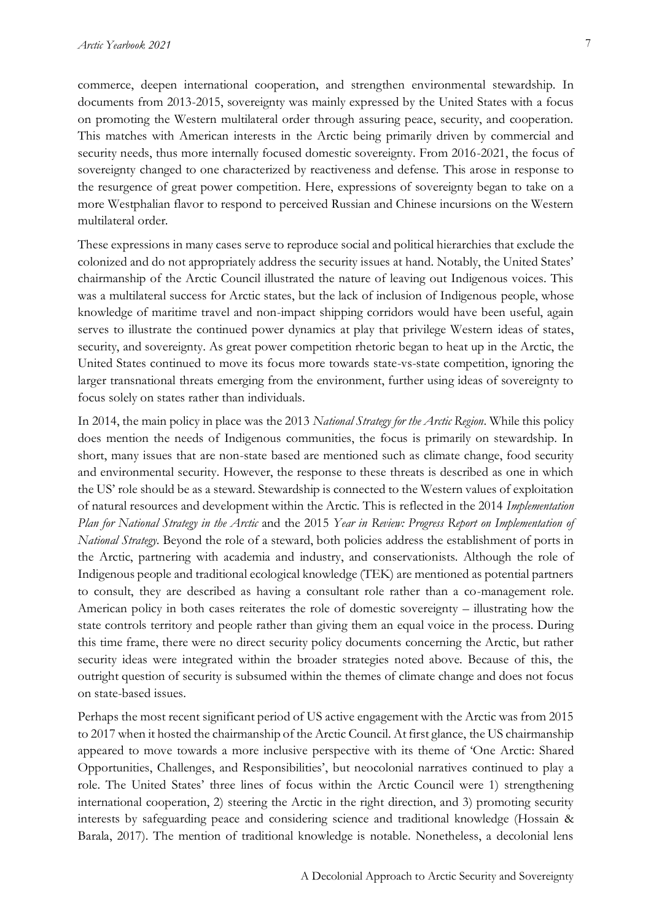commerce, deepen international cooperation, and strengthen environmental stewardship. In

documents from 2013-2015, sovereignty was mainly expressed by the United States with a focus on promoting the Western multilateral order through assuring peace, security, and cooperation. This matches with American interests in the Arctic being primarily driven by commercial and security needs, thus more internally focused domestic sovereignty. From 2016-2021, the focus of sovereignty changed to one characterized by reactiveness and defense. This arose in response to the resurgence of great power competition. Here, expressions of sovereignty began to take on a more Westphalian flavor to respond to perceived Russian and Chinese incursions on the Western multilateral order.

These expressions in many cases serve to reproduce social and political hierarchies that exclude the colonized and do not appropriately address the security issues at hand. Notably, the United States' chairmanship of the Arctic Council illustrated the nature of leaving out Indigenous voices. This was a multilateral success for Arctic states, but the lack of inclusion of Indigenous people, whose knowledge of maritime travel and non-impact shipping corridors would have been useful, again serves to illustrate the continued power dynamics at play that privilege Western ideas of states, security, and sovereignty. As great power competition rhetoric began to heat up in the Arctic, the United States continued to move its focus more towards state-vs-state competition, ignoring the larger transnational threats emerging from the environment, further using ideas of sovereignty to focus solely on states rather than individuals.

In 2014, the main policy in place was the 2013 *National Strategy for the Arctic Region*. While this policy does mention the needs of Indigenous communities, the focus is primarily on stewardship. In short, many issues that are non-state based are mentioned such as climate change, food security and environmental security. However, the response to these threats is described as one in which the US' role should be as a steward. Stewardship is connected to the Western values of exploitation of natural resources and development within the Arctic. This is reflected in the 2014 *Implementation Plan for National Strategy in the Arctic* and the 2015 *Year in Review: Progress Report on Implementation of National Strategy*. Beyond the role of a steward, both policies address the establishment of ports in the Arctic, partnering with academia and industry, and conservationists. Although the role of Indigenous people and traditional ecological knowledge (TEK) are mentioned as potential partners to consult, they are described as having a consultant role rather than a co-management role. American policy in both cases reiterates the role of domestic sovereignty – illustrating how the state controls territory and people rather than giving them an equal voice in the process. During this time frame, there were no direct security policy documents concerning the Arctic, but rather security ideas were integrated within the broader strategies noted above. Because of this, the outright question of security is subsumed within the themes of climate change and does not focus on state-based issues.

Perhaps the most recent significant period of US active engagement with the Arctic was from 2015 to 2017 when it hosted the chairmanship of the Arctic Council. At first glance, the US chairmanship appeared to move towards a more inclusive perspective with its theme of 'One Arctic: Shared Opportunities, Challenges, and Responsibilities', but neocolonial narratives continued to play a role. The United States' three lines of focus within the Arctic Council were 1) strengthening international cooperation, 2) steering the Arctic in the right direction, and 3) promoting security interests by safeguarding peace and considering science and traditional knowledge (Hossain & Barala, 2017). The mention of traditional knowledge is notable. Nonetheless, a decolonial lens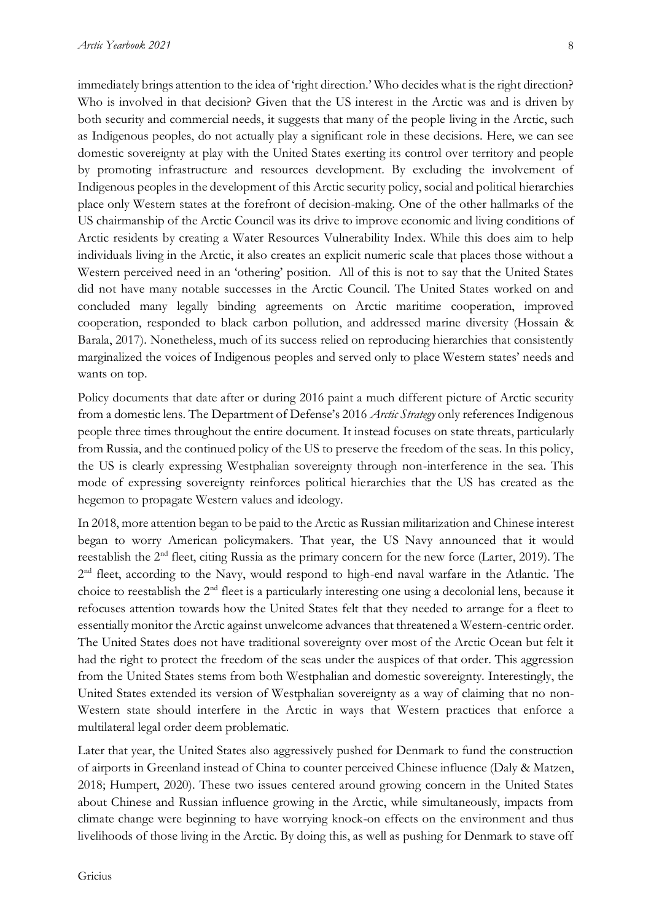immediately brings attention to the idea of 'right direction.' Who decides what is the right direction? Who is involved in that decision? Given that the US interest in the Arctic was and is driven by both security and commercial needs, it suggests that many of the people living in the Arctic, such as Indigenous peoples, do not actually play a significant role in these decisions. Here, we can see domestic sovereignty at play with the United States exerting its control over territory and people by promoting infrastructure and resources development. By excluding the involvement of Indigenous peoples in the development of this Arctic security policy, social and political hierarchies place only Western states at the forefront of decision-making. One of the other hallmarks of the US chairmanship of the Arctic Council was its drive to improve economic and living conditions of Arctic residents by creating a Water Resources Vulnerability Index. While this does aim to help individuals living in the Arctic, it also creates an explicit numeric scale that places those without a Western perceived need in an 'othering' position. All of this is not to say that the United States did not have many notable successes in the Arctic Council. The United States worked on and concluded many legally binding agreements on Arctic maritime cooperation, improved cooperation, responded to black carbon pollution, and addressed marine diversity (Hossain & Barala, 2017). Nonetheless, much of its success relied on reproducing hierarchies that consistently marginalized the voices of Indigenous peoples and served only to place Western states' needs and wants on top.

Policy documents that date after or during 2016 paint a much different picture of Arctic security from a domestic lens. The Department of Defense's 2016 *Arctic Strategy* only references Indigenous people three times throughout the entire document. It instead focuses on state threats, particularly from Russia, and the continued policy of the US to preserve the freedom of the seas. In this policy, the US is clearly expressing Westphalian sovereignty through non-interference in the sea. This mode of expressing sovereignty reinforces political hierarchies that the US has created as the hegemon to propagate Western values and ideology.

In 2018, more attention began to be paid to the Arctic as Russian militarization and Chinese interest began to worry American policymakers. That year, the US Navy announced that it would reestablish the 2nd fleet, citing Russia as the primary concern for the new force (Larter, 2019). The 2<sup>nd</sup> fleet, according to the Navy, would respond to high-end naval warfare in the Atlantic. The choice to reestablish the 2nd fleet is a particularly interesting one using a decolonial lens, because it refocuses attention towards how the United States felt that they needed to arrange for a fleet to essentially monitor the Arctic against unwelcome advances that threatened a Western-centric order. The United States does not have traditional sovereignty over most of the Arctic Ocean but felt it had the right to protect the freedom of the seas under the auspices of that order. This aggression from the United States stems from both Westphalian and domestic sovereignty. Interestingly, the United States extended its version of Westphalian sovereignty as a way of claiming that no non-Western state should interfere in the Arctic in ways that Western practices that enforce a multilateral legal order deem problematic.

Later that year, the United States also aggressively pushed for Denmark to fund the construction of airports in Greenland instead of China to counter perceived Chinese influence (Daly & Matzen, 2018; Humpert, 2020). These two issues centered around growing concern in the United States about Chinese and Russian influence growing in the Arctic, while simultaneously, impacts from climate change were beginning to have worrying knock-on effects on the environment and thus livelihoods of those living in the Arctic. By doing this, as well as pushing for Denmark to stave off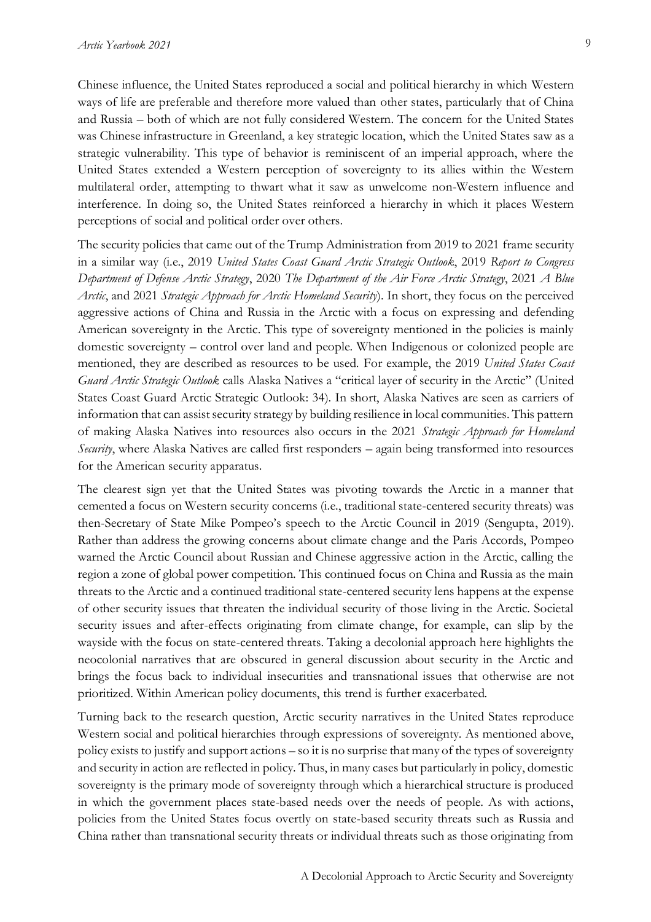Chinese influence, the United States reproduced a social and political hierarchy in which Western ways of life are preferable and therefore more valued than other states, particularly that of China and Russia – both of which are not fully considered Western. The concern for the United States was Chinese infrastructure in Greenland, a key strategic location, which the United States saw as a strategic vulnerability. This type of behavior is reminiscent of an imperial approach, where the United States extended a Western perception of sovereignty to its allies within the Western multilateral order, attempting to thwart what it saw as unwelcome non-Western influence and interference. In doing so, the United States reinforced a hierarchy in which it places Western perceptions of social and political order over others.

The security policies that came out of the Trump Administration from 2019 to 2021 frame security in a similar way (i.e., 2019 *United States Coast Guard Arctic Strategic Outlook*, 2019 *Report to Congress Department of Defense Arctic Strategy*, 2020 *The Department of the Air Force Arctic Strategy*, 2021 *A Blue Arctic*, and 2021 *Strategic Approach for Arctic Homeland Security*). In short, they focus on the perceived aggressive actions of China and Russia in the Arctic with a focus on expressing and defending American sovereignty in the Arctic. This type of sovereignty mentioned in the policies is mainly domestic sovereignty – control over land and people. When Indigenous or colonized people are mentioned, they are described as resources to be used. For example, the 2019 *United States Coast Guard Arctic Strategic Outlook* calls Alaska Natives a "critical layer of security in the Arctic" (United States Coast Guard Arctic Strategic Outlook: 34). In short, Alaska Natives are seen as carriers of information that can assist security strategy by building resilience in local communities. This pattern of making Alaska Natives into resources also occurs in the 2021 *Strategic Approach for Homeland Security*, where Alaska Natives are called first responders – again being transformed into resources for the American security apparatus.

The clearest sign yet that the United States was pivoting towards the Arctic in a manner that cemented a focus on Western security concerns (i.e., traditional state-centered security threats) was then-Secretary of State Mike Pompeo's speech to the Arctic Council in 2019 (Sengupta, 2019). Rather than address the growing concerns about climate change and the Paris Accords, Pompeo warned the Arctic Council about Russian and Chinese aggressive action in the Arctic, calling the region a zone of global power competition. This continued focus on China and Russia as the main threats to the Arctic and a continued traditional state-centered security lens happens at the expense of other security issues that threaten the individual security of those living in the Arctic. Societal security issues and after-effects originating from climate change, for example, can slip by the wayside with the focus on state-centered threats. Taking a decolonial approach here highlights the neocolonial narratives that are obscured in general discussion about security in the Arctic and brings the focus back to individual insecurities and transnational issues that otherwise are not prioritized. Within American policy documents, this trend is further exacerbated.

Turning back to the research question, Arctic security narratives in the United States reproduce Western social and political hierarchies through expressions of sovereignty. As mentioned above, policy exists to justify and support actions – so it is no surprise that many of the types of sovereignty and security in action are reflected in policy. Thus, in many cases but particularly in policy, domestic sovereignty is the primary mode of sovereignty through which a hierarchical structure is produced in which the government places state-based needs over the needs of people. As with actions, policies from the United States focus overtly on state-based security threats such as Russia and China rather than transnational security threats or individual threats such as those originating from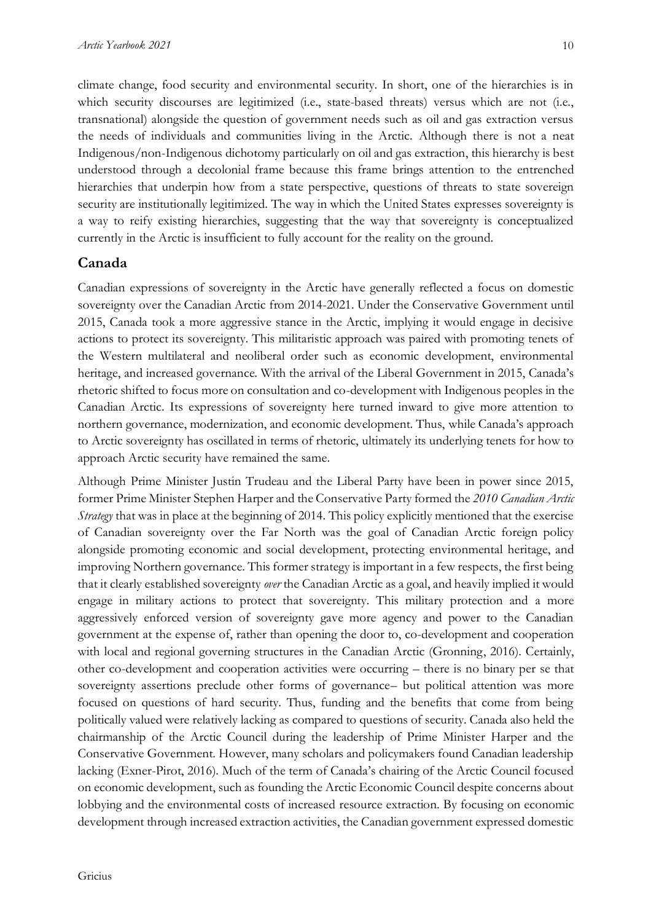climate change, food security and environmental security. In short, one of the hierarchies is in which security discourses are legitimized (i.e., state-based threats) versus which are not (i.e., transnational) alongside the question of government needs such as oil and gas extraction versus the needs of individuals and communities living in the Arctic. Although there is not a neat Indigenous/non-Indigenous dichotomy particularly on oil and gas extraction, this hierarchy is best understood through a decolonial frame because this frame brings attention to the entrenched hierarchies that underpin how from a state perspective, questions of threats to state sovereign security are institutionally legitimized. The way in which the United States expresses sovereignty is a way to reify existing hierarchies, suggesting that the way that sovereignty is conceptualized currently in the Arctic is insufficient to fully account for the reality on the ground.

### **Canada**

Canadian expressions of sovereignty in the Arctic have generally reflected a focus on domestic sovereignty over the Canadian Arctic from 2014-2021. Under the Conservative Government until 2015, Canada took a more aggressive stance in the Arctic, implying it would engage in decisive actions to protect its sovereignty. This militaristic approach was paired with promoting tenets of the Western multilateral and neoliberal order such as economic development, environmental heritage, and increased governance. With the arrival of the Liberal Government in 2015, Canada's rhetoric shifted to focus more on consultation and co-development with Indigenous peoples in the Canadian Arctic. Its expressions of sovereignty here turned inward to give more attention to northern governance, modernization, and economic development. Thus, while Canada's approach to Arctic sovereignty has oscillated in terms of rhetoric, ultimately its underlying tenets for how to approach Arctic security have remained the same.

Although Prime Minister Justin Trudeau and the Liberal Party have been in power since 2015, former Prime Minister Stephen Harper and the Conservative Party formed the *2010 Canadian Arctic Strategy* that was in place at the beginning of 2014. This policy explicitly mentioned that the exercise of Canadian sovereignty over the Far North was the goal of Canadian Arctic foreign policy alongside promoting economic and social development, protecting environmental heritage, and improving Northern governance. This former strategy is important in a few respects, the first being that it clearly established sovereignty *over* the Canadian Arctic as a goal, and heavily implied it would engage in military actions to protect that sovereignty. This military protection and a more aggressively enforced version of sovereignty gave more agency and power to the Canadian government at the expense of, rather than opening the door to, co-development and cooperation with local and regional governing structures in the Canadian Arctic (Gronning, 2016). Certainly, other co-development and cooperation activities were occurring – there is no binary per se that sovereignty assertions preclude other forms of governance– but political attention was more focused on questions of hard security. Thus, funding and the benefits that come from being politically valued were relatively lacking as compared to questions of security. Canada also held the chairmanship of the Arctic Council during the leadership of Prime Minister Harper and the Conservative Government. However, many scholars and policymakers found Canadian leadership lacking (Exner-Pirot, 2016). Much of the term of Canada's chairing of the Arctic Council focused on economic development, such as founding the Arctic Economic Council despite concerns about lobbying and the environmental costs of increased resource extraction. By focusing on economic development through increased extraction activities, the Canadian government expressed domestic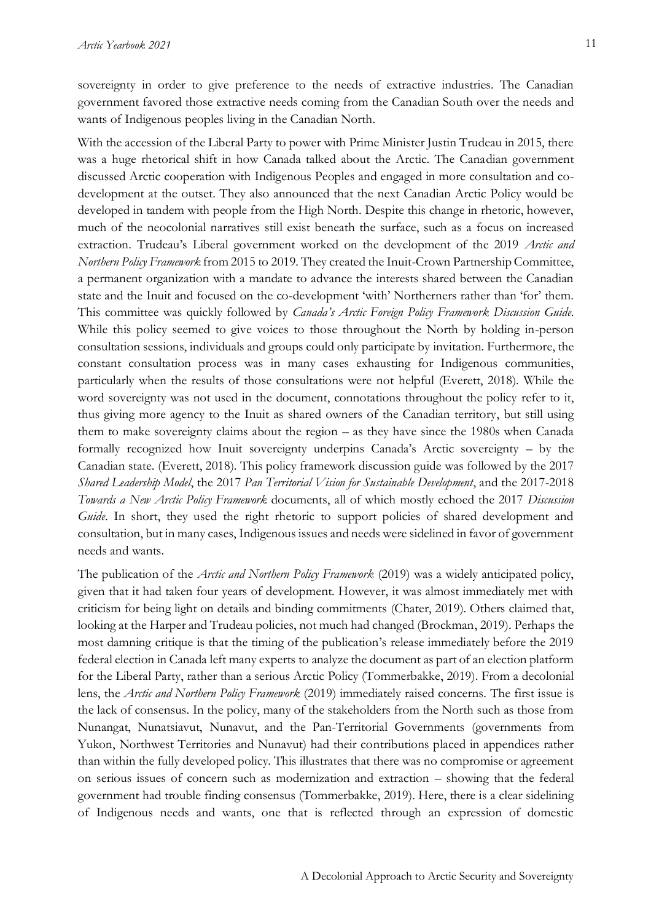sovereignty in order to give preference to the needs of extractive industries. The Canadian government favored those extractive needs coming from the Canadian South over the needs and wants of Indigenous peoples living in the Canadian North.

With the accession of the Liberal Party to power with Prime Minister Justin Trudeau in 2015, there was a huge rhetorical shift in how Canada talked about the Arctic. The Canadian government discussed Arctic cooperation with Indigenous Peoples and engaged in more consultation and codevelopment at the outset. They also announced that the next Canadian Arctic Policy would be developed in tandem with people from the High North. Despite this change in rhetoric, however, much of the neocolonial narratives still exist beneath the surface, such as a focus on increased extraction. Trudeau's Liberal government worked on the development of the 2019 *Arctic and Northern Policy Framework* from 2015 to 2019. They created the Inuit-Crown Partnership Committee, a permanent organization with a mandate to advance the interests shared between the Canadian state and the Inuit and focused on the co-development 'with' Northerners rather than 'for' them. This committee was quickly followed by *Canada's Arctic Foreign Policy Framework Discussion Guide*. While this policy seemed to give voices to those throughout the North by holding in-person consultation sessions, individuals and groups could only participate by invitation. Furthermore, the constant consultation process was in many cases exhausting for Indigenous communities, particularly when the results of those consultations were not helpful (Everett, 2018). While the word sovereignty was not used in the document, connotations throughout the policy refer to it, thus giving more agency to the Inuit as shared owners of the Canadian territory, but still using them to make sovereignty claims about the region – as they have since the 1980s when Canada formally recognized how Inuit sovereignty underpins Canada's Arctic sovereignty – by the Canadian state. (Everett, 2018). This policy framework discussion guide was followed by the 2017 *Shared Leadership Model*, the 2017 *Pan Territorial Vision for Sustainable Development*, and the 2017-2018 *Towards a New Arctic Policy Framework* documents, all of which mostly echoed the 2017 *Discussion*  Guide. In short, they used the right rhetoric to support policies of shared development and consultation, but in many cases, Indigenous issues and needs were sidelined in favor of government needs and wants.

The publication of the *Arctic and Northern Policy Framework* (2019) was a widely anticipated policy, given that it had taken four years of development. However, it was almost immediately met with criticism for being light on details and binding commitments (Chater, 2019). Others claimed that, looking at the Harper and Trudeau policies, not much had changed (Brockman, 2019). Perhaps the most damning critique is that the timing of the publication's release immediately before the 2019 federal election in Canada left many experts to analyze the document as part of an election platform for the Liberal Party, rather than a serious Arctic Policy (Tommerbakke, 2019). From a decolonial lens, the *Arctic and Northern Policy Framework* (2019) immediately raised concerns. The first issue is the lack of consensus. In the policy, many of the stakeholders from the North such as those from Nunangat, Nunatsiavut, Nunavut, and the Pan-Territorial Governments (governments from Yukon, Northwest Territories and Nunavut) had their contributions placed in appendices rather than within the fully developed policy. This illustrates that there was no compromise or agreement on serious issues of concern such as modernization and extraction – showing that the federal government had trouble finding consensus (Tommerbakke, 2019). Here, there is a clear sidelining of Indigenous needs and wants, one that is reflected through an expression of domestic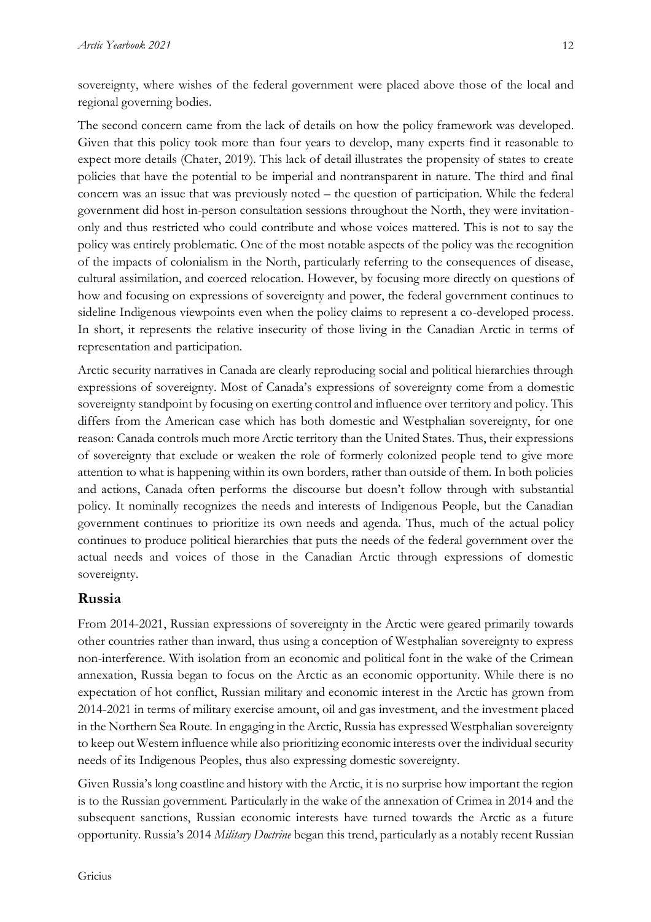sovereignty, where wishes of the federal government were placed above those of the local and regional governing bodies.

The second concern came from the lack of details on how the policy framework was developed. Given that this policy took more than four years to develop, many experts find it reasonable to expect more details (Chater, 2019). This lack of detail illustrates the propensity of states to create policies that have the potential to be imperial and nontransparent in nature. The third and final concern was an issue that was previously noted – the question of participation. While the federal government did host in-person consultation sessions throughout the North, they were invitationonly and thus restricted who could contribute and whose voices mattered. This is not to say the policy was entirely problematic. One of the most notable aspects of the policy was the recognition of the impacts of colonialism in the North, particularly referring to the consequences of disease, cultural assimilation, and coerced relocation. However, by focusing more directly on questions of how and focusing on expressions of sovereignty and power, the federal government continues to sideline Indigenous viewpoints even when the policy claims to represent a co-developed process. In short, it represents the relative insecurity of those living in the Canadian Arctic in terms of representation and participation.

Arctic security narratives in Canada are clearly reproducing social and political hierarchies through expressions of sovereignty. Most of Canada's expressions of sovereignty come from a domestic sovereignty standpoint by focusing on exerting control and influence over territory and policy. This differs from the American case which has both domestic and Westphalian sovereignty, for one reason: Canada controls much more Arctic territory than the United States. Thus, their expressions of sovereignty that exclude or weaken the role of formerly colonized people tend to give more attention to what is happening within its own borders, rather than outside of them. In both policies and actions, Canada often performs the discourse but doesn't follow through with substantial policy. It nominally recognizes the needs and interests of Indigenous People, but the Canadian government continues to prioritize its own needs and agenda. Thus, much of the actual policy continues to produce political hierarchies that puts the needs of the federal government over the actual needs and voices of those in the Canadian Arctic through expressions of domestic sovereignty.

## **Russia**

From 2014-2021, Russian expressions of sovereignty in the Arctic were geared primarily towards other countries rather than inward, thus using a conception of Westphalian sovereignty to express non-interference. With isolation from an economic and political font in the wake of the Crimean annexation, Russia began to focus on the Arctic as an economic opportunity. While there is no expectation of hot conflict, Russian military and economic interest in the Arctic has grown from 2014-2021 in terms of military exercise amount, oil and gas investment, and the investment placed in the Northern Sea Route. In engaging in the Arctic, Russia has expressed Westphalian sovereignty to keep out Western influence while also prioritizing economic interests over the individual security needs of its Indigenous Peoples, thus also expressing domestic sovereignty.

Given Russia's long coastline and history with the Arctic, it is no surprise how important the region is to the Russian government. Particularly in the wake of the annexation of Crimea in 2014 and the subsequent sanctions, Russian economic interests have turned towards the Arctic as a future opportunity. Russia's 2014 *Military Doctrine* began this trend, particularly as a notably recent Russian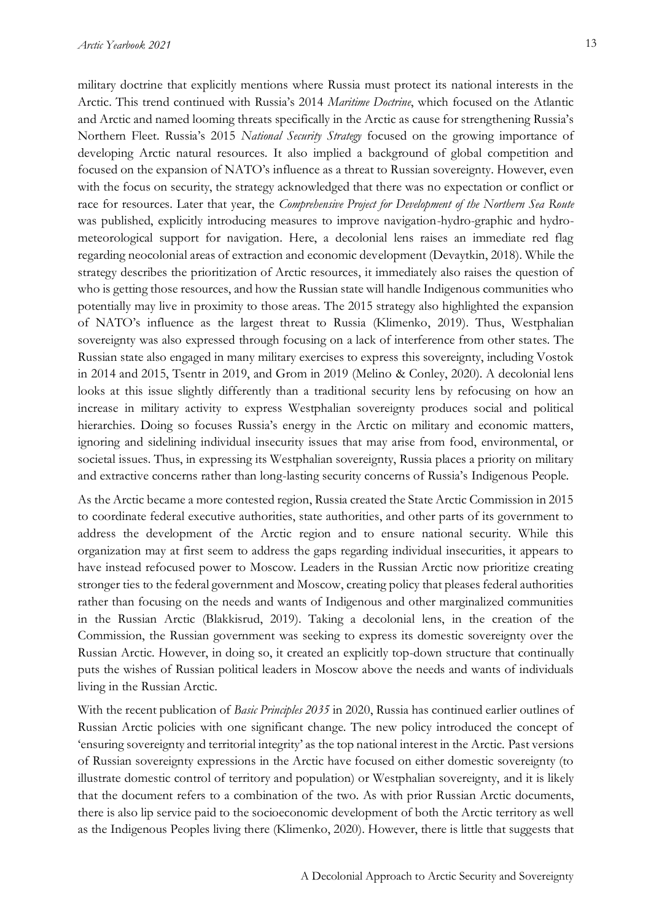military doctrine that explicitly mentions where Russia must protect its national interests in the Arctic. This trend continued with Russia's 2014 *Maritime Doctrine*, which focused on the Atlantic and Arctic and named looming threats specifically in the Arctic as cause for strengthening Russia's Northern Fleet. Russia's 2015 *National Security Strategy* focused on the growing importance of developing Arctic natural resources. It also implied a background of global competition and focused on the expansion of NATO's influence as a threat to Russian sovereignty. However, even with the focus on security, the strategy acknowledged that there was no expectation or conflict or race for resources. Later that year, the *Comprehensive Project for Development of the Northern Sea Route* was published, explicitly introducing measures to improve navigation-hydro-graphic and hydrometeorological support for navigation. Here, a decolonial lens raises an immediate red flag regarding neocolonial areas of extraction and economic development (Devaytkin, 2018). While the strategy describes the prioritization of Arctic resources, it immediately also raises the question of who is getting those resources, and how the Russian state will handle Indigenous communities who potentially may live in proximity to those areas. The 2015 strategy also highlighted the expansion of NATO's influence as the largest threat to Russia (Klimenko, 2019). Thus, Westphalian sovereignty was also expressed through focusing on a lack of interference from other states. The Russian state also engaged in many military exercises to express this sovereignty, including Vostok in 2014 and 2015, Tsentr in 2019, and Grom in 2019 (Melino & Conley, 2020). A decolonial lens looks at this issue slightly differently than a traditional security lens by refocusing on how an increase in military activity to express Westphalian sovereignty produces social and political hierarchies. Doing so focuses Russia's energy in the Arctic on military and economic matters, ignoring and sidelining individual insecurity issues that may arise from food, environmental, or societal issues. Thus, in expressing its Westphalian sovereignty, Russia places a priority on military and extractive concerns rather than long-lasting security concerns of Russia's Indigenous People.

As the Arctic became a more contested region, Russia created the State Arctic Commission in 2015 to coordinate federal executive authorities, state authorities, and other parts of its government to address the development of the Arctic region and to ensure national security. While this organization may at first seem to address the gaps regarding individual insecurities, it appears to have instead refocused power to Moscow. Leaders in the Russian Arctic now prioritize creating stronger ties to the federal government and Moscow, creating policy that pleases federal authorities rather than focusing on the needs and wants of Indigenous and other marginalized communities in the Russian Arctic (Blakkisrud, 2019). Taking a decolonial lens, in the creation of the Commission, the Russian government was seeking to express its domestic sovereignty over the Russian Arctic. However, in doing so, it created an explicitly top-down structure that continually puts the wishes of Russian political leaders in Moscow above the needs and wants of individuals living in the Russian Arctic.

With the recent publication of *Basic Principles 2035* in 2020, Russia has continued earlier outlines of Russian Arctic policies with one significant change. The new policy introduced the concept of 'ensuring sovereignty and territorial integrity' as the top national interest in the Arctic. Past versions of Russian sovereignty expressions in the Arctic have focused on either domestic sovereignty (to illustrate domestic control of territory and population) or Westphalian sovereignty, and it is likely that the document refers to a combination of the two. As with prior Russian Arctic documents, there is also lip service paid to the socioeconomic development of both the Arctic territory as well as the Indigenous Peoples living there (Klimenko, 2020). However, there is little that suggests that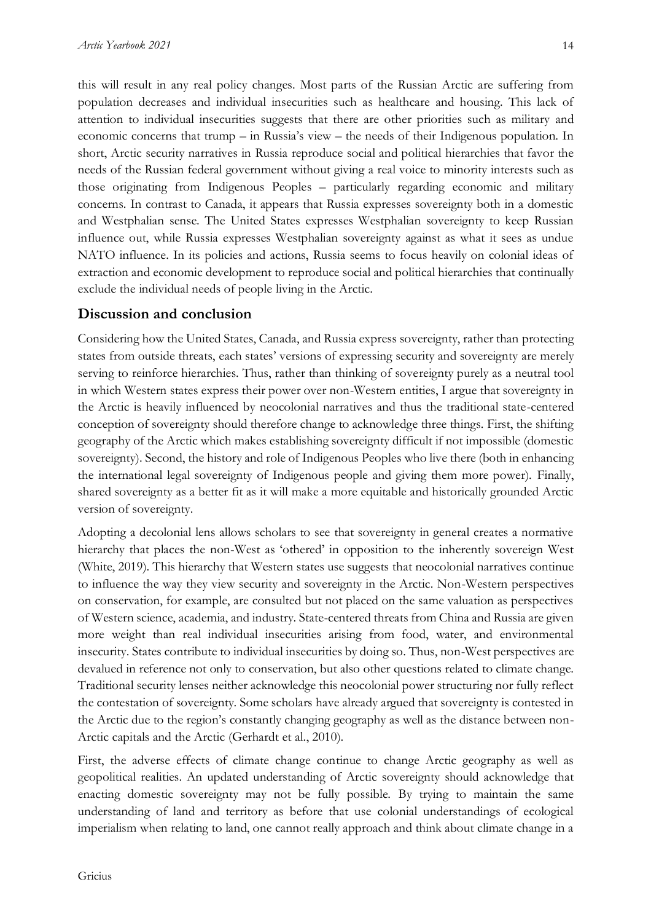this will result in any real policy changes. Most parts of the Russian Arctic are suffering from population decreases and individual insecurities such as healthcare and housing. This lack of attention to individual insecurities suggests that there are other priorities such as military and economic concerns that trump – in Russia's view – the needs of their Indigenous population. In short, Arctic security narratives in Russia reproduce social and political hierarchies that favor the needs of the Russian federal government without giving a real voice to minority interests such as those originating from Indigenous Peoples – particularly regarding economic and military concerns. In contrast to Canada, it appears that Russia expresses sovereignty both in a domestic and Westphalian sense. The United States expresses Westphalian sovereignty to keep Russian influence out, while Russia expresses Westphalian sovereignty against as what it sees as undue NATO influence. In its policies and actions, Russia seems to focus heavily on colonial ideas of extraction and economic development to reproduce social and political hierarchies that continually exclude the individual needs of people living in the Arctic.

# **Discussion and conclusion**

Considering how the United States, Canada, and Russia express sovereignty, rather than protecting states from outside threats, each states' versions of expressing security and sovereignty are merely serving to reinforce hierarchies. Thus, rather than thinking of sovereignty purely as a neutral tool in which Western states express their power over non-Western entities, I argue that sovereignty in the Arctic is heavily influenced by neocolonial narratives and thus the traditional state-centered conception of sovereignty should therefore change to acknowledge three things. First, the shifting geography of the Arctic which makes establishing sovereignty difficult if not impossible (domestic sovereignty). Second, the history and role of Indigenous Peoples who live there (both in enhancing the international legal sovereignty of Indigenous people and giving them more power). Finally, shared sovereignty as a better fit as it will make a more equitable and historically grounded Arctic version of sovereignty.

Adopting a decolonial lens allows scholars to see that sovereignty in general creates a normative hierarchy that places the non-West as 'othered' in opposition to the inherently sovereign West (White, 2019). This hierarchy that Western states use suggests that neocolonial narratives continue to influence the way they view security and sovereignty in the Arctic. Non-Western perspectives on conservation, for example, are consulted but not placed on the same valuation as perspectives of Western science, academia, and industry. State-centered threats from China and Russia are given more weight than real individual insecurities arising from food, water, and environmental insecurity. States contribute to individual insecurities by doing so. Thus, non-West perspectives are devalued in reference not only to conservation, but also other questions related to climate change. Traditional security lenses neither acknowledge this neocolonial power structuring nor fully reflect the contestation of sovereignty. Some scholars have already argued that sovereignty is contested in the Arctic due to the region's constantly changing geography as well as the distance between non-Arctic capitals and the Arctic (Gerhardt et al., 2010).

First, the adverse effects of climate change continue to change Arctic geography as well as geopolitical realities. An updated understanding of Arctic sovereignty should acknowledge that enacting domestic sovereignty may not be fully possible. By trying to maintain the same understanding of land and territory as before that use colonial understandings of ecological imperialism when relating to land, one cannot really approach and think about climate change in a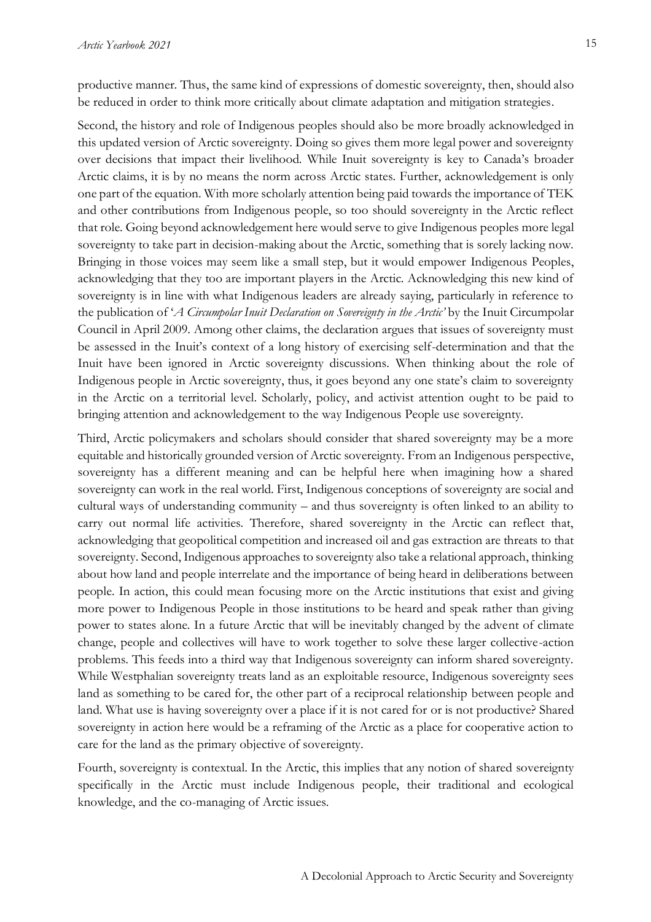productive manner. Thus, the same kind of expressions of domestic sovereignty, then, should also be reduced in order to think more critically about climate adaptation and mitigation strategies.

Second, the history and role of Indigenous peoples should also be more broadly acknowledged in this updated version of Arctic sovereignty. Doing so gives them more legal power and sovereignty over decisions that impact their livelihood. While Inuit sovereignty is key to Canada's broader Arctic claims, it is by no means the norm across Arctic states. Further, acknowledgement is only one part of the equation. With more scholarly attention being paid towards the importance of TEK and other contributions from Indigenous people, so too should sovereignty in the Arctic reflect that role. Going beyond acknowledgement here would serve to give Indigenous peoples more legal sovereignty to take part in decision-making about the Arctic, something that is sorely lacking now. Bringing in those voices may seem like a small step, but it would empower Indigenous Peoples, acknowledging that they too are important players in the Arctic. Acknowledging this new kind of sovereignty is in line with what Indigenous leaders are already saying, particularly in reference to the publication of '*A Circumpolar Inuit Declaration on Sovereignty in the Arctic'* by the Inuit Circumpolar Council in April 2009. Among other claims, the declaration argues that issues of sovereignty must be assessed in the Inuit's context of a long history of exercising self-determination and that the Inuit have been ignored in Arctic sovereignty discussions. When thinking about the role of Indigenous people in Arctic sovereignty, thus, it goes beyond any one state's claim to sovereignty in the Arctic on a territorial level. Scholarly, policy, and activist attention ought to be paid to bringing attention and acknowledgement to the way Indigenous People use sovereignty.

Third, Arctic policymakers and scholars should consider that shared sovereignty may be a more equitable and historically grounded version of Arctic sovereignty. From an Indigenous perspective, sovereignty has a different meaning and can be helpful here when imagining how a shared sovereignty can work in the real world. First, Indigenous conceptions of sovereignty are social and cultural ways of understanding community – and thus sovereignty is often linked to an ability to carry out normal life activities. Therefore, shared sovereignty in the Arctic can reflect that, acknowledging that geopolitical competition and increased oil and gas extraction are threats to that sovereignty. Second, Indigenous approaches to sovereignty also take a relational approach, thinking about how land and people interrelate and the importance of being heard in deliberations between people. In action, this could mean focusing more on the Arctic institutions that exist and giving more power to Indigenous People in those institutions to be heard and speak rather than giving power to states alone. In a future Arctic that will be inevitably changed by the advent of climate change, people and collectives will have to work together to solve these larger collective-action problems. This feeds into a third way that Indigenous sovereignty can inform shared sovereignty. While Westphalian sovereignty treats land as an exploitable resource, Indigenous sovereignty sees land as something to be cared for, the other part of a reciprocal relationship between people and land. What use is having sovereignty over a place if it is not cared for or is not productive? Shared sovereignty in action here would be a reframing of the Arctic as a place for cooperative action to care for the land as the primary objective of sovereignty.

Fourth, sovereignty is contextual. In the Arctic, this implies that any notion of shared sovereignty specifically in the Arctic must include Indigenous people, their traditional and ecological knowledge, and the co-managing of Arctic issues.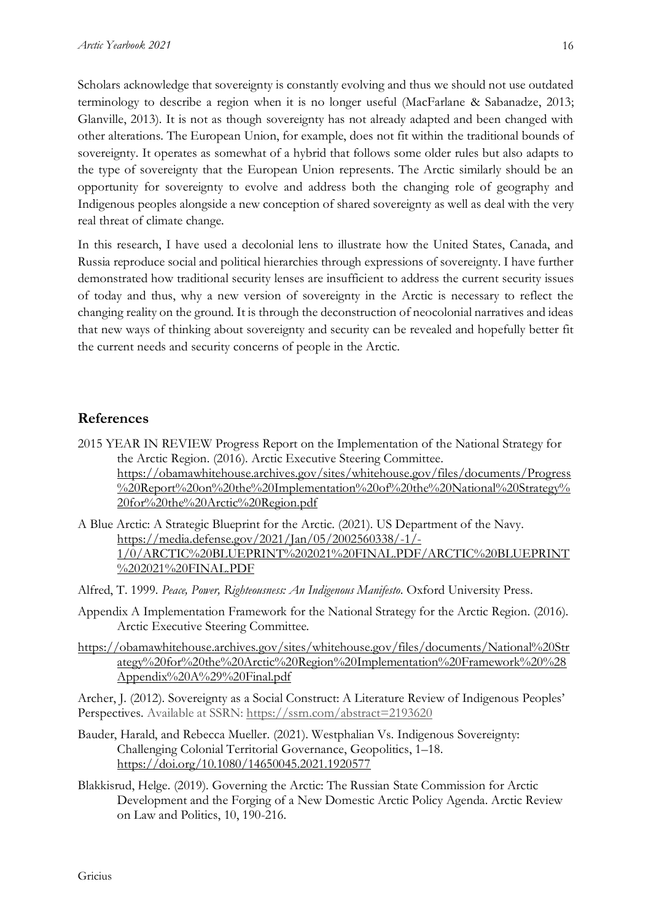Scholars acknowledge that sovereignty is constantly evolving and thus we should not use outdated terminology to describe a region when it is no longer useful (MacFarlane & Sabanadze, 2013; Glanville, 2013). It is not as though sovereignty has not already adapted and been changed with other alterations. The European Union, for example, does not fit within the traditional bounds of sovereignty. It operates as somewhat of a hybrid that follows some older rules but also adapts to the type of sovereignty that the European Union represents. The Arctic similarly should be an opportunity for sovereignty to evolve and address both the changing role of geography and Indigenous peoples alongside a new conception of shared sovereignty as well as deal with the very real threat of climate change.

In this research, I have used a decolonial lens to illustrate how the United States, Canada, and Russia reproduce social and political hierarchies through expressions of sovereignty. I have further demonstrated how traditional security lenses are insufficient to address the current security issues of today and thus, why a new version of sovereignty in the Arctic is necessary to reflect the changing reality on the ground. It is through the deconstruction of neocolonial narratives and ideas that new ways of thinking about sovereignty and security can be revealed and hopefully better fit the current needs and security concerns of people in the Arctic.

## **References**

2015 YEAR IN REVIEW Progress Report on the Implementation of the National Strategy for the Arctic Region. (2016). Arctic Executive Steering Committee. [https://obamawhitehouse.archives.gov/sites/whitehouse.gov/files/documents/Progress](https://obamawhitehouse.archives.gov/sites/whitehouse.gov/files/documents/Progress%20Report%20on%20the%20Implementation%20of%20the%20National%20Strategy%20for%20the%20Arctic%20Region.pdf) [%20Report%20on%20the%20Implementation%20of%20the%20National%20Strategy%](https://obamawhitehouse.archives.gov/sites/whitehouse.gov/files/documents/Progress%20Report%20on%20the%20Implementation%20of%20the%20National%20Strategy%20for%20the%20Arctic%20Region.pdf) [20for%20the%20Arctic%20Region.pdf](https://obamawhitehouse.archives.gov/sites/whitehouse.gov/files/documents/Progress%20Report%20on%20the%20Implementation%20of%20the%20National%20Strategy%20for%20the%20Arctic%20Region.pdf)

A Blue Arctic: A Strategic Blueprint for the Arctic. (2021). US Department of the Navy. [https://media.defense.gov/2021/Jan/05/2002560338/-1/-](https://media.defense.gov/2021/Jan/05/2002560338/-1/-1/0/ARCTIC%20BLUEPRINT%202021%20FINAL.PDF/ARCTIC%20BLUEPRINT%202021%20FINAL.PDF) [1/0/ARCTIC%20BLUEPRINT%202021%20FINAL.PDF/ARCTIC%20BLUEPRINT](https://media.defense.gov/2021/Jan/05/2002560338/-1/-1/0/ARCTIC%20BLUEPRINT%202021%20FINAL.PDF/ARCTIC%20BLUEPRINT%202021%20FINAL.PDF) [%202021%20FINAL.PDF](https://media.defense.gov/2021/Jan/05/2002560338/-1/-1/0/ARCTIC%20BLUEPRINT%202021%20FINAL.PDF/ARCTIC%20BLUEPRINT%202021%20FINAL.PDF)

- Alfred, T. 1999. *Peace, Power, Righteousness: An Indigenous Manifesto*. Oxford University Press.
- Appendix A Implementation Framework for the National Strategy for the Arctic Region. (2016). Arctic Executive Steering Committee.
- [https://obamawhitehouse.archives.gov/sites/whitehouse.gov/files/documents/National%20Str](https://obamawhitehouse.archives.gov/sites/whitehouse.gov/files/documents/National%20Strategy%20for%20the%20Arctic%20Region%20Implementation%20Framework%20%28Appendix%20A%29%20Final.pdf) [ategy%20for%20the%20Arctic%20Region%20Implementation%20Framework%20%28](https://obamawhitehouse.archives.gov/sites/whitehouse.gov/files/documents/National%20Strategy%20for%20the%20Arctic%20Region%20Implementation%20Framework%20%28Appendix%20A%29%20Final.pdf) [Appendix%20A%29%20Final.pdf](https://obamawhitehouse.archives.gov/sites/whitehouse.gov/files/documents/National%20Strategy%20for%20the%20Arctic%20Region%20Implementation%20Framework%20%28Appendix%20A%29%20Final.pdf)

Archer, J. (2012). Sovereignty as a Social Construct: A Literature Review of Indigenous Peoples' Perspectives. Available at SSRN: <https://ssrn.com/abstract=2193620>

- Bauder, Harald, and Rebecca Mueller. (2021). Westphalian Vs. Indigenous Sovereignty: Challenging Colonial Territorial Governance, Geopolitics, 1–18. <https://doi.org/10.1080/14650045.2021.1920577>
- Blakkisrud, Helge. (2019). Governing the Arctic: The Russian State Commission for Arctic Development and the Forging of a New Domestic Arctic Policy Agenda. Arctic Review on Law and Politics, 10, 190-216.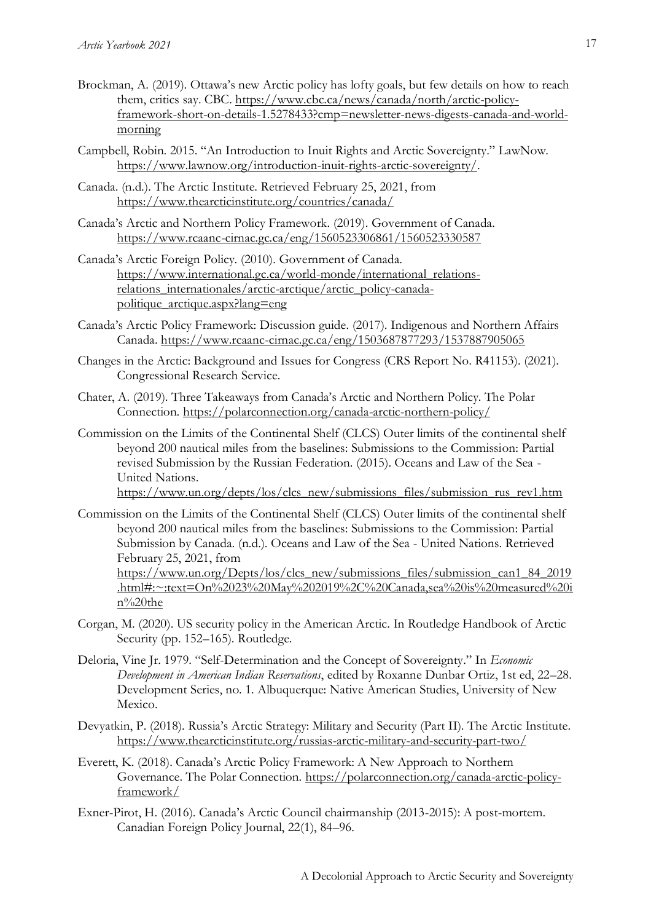- Brockman, A. (2019). Ottawa's new Arctic policy has lofty goals, but few details on how to reach them, critics say. CBC. [https://www.cbc.ca/news/canada/north/arctic-policy](https://www.cbc.ca/news/canada/north/arctic-policy-framework-short-on-details-1.5278433?cmp=newsletter-news-digests-canada-and-world-morning)[framework-short-on-details-1.5278433?cmp=newsletter-news-digests-canada-and-world](https://www.cbc.ca/news/canada/north/arctic-policy-framework-short-on-details-1.5278433?cmp=newsletter-news-digests-canada-and-world-morning)[morning](https://www.cbc.ca/news/canada/north/arctic-policy-framework-short-on-details-1.5278433?cmp=newsletter-news-digests-canada-and-world-morning)
- Campbell, Robin. 2015. "An Introduction to Inuit Rights and Arctic Sovereignty." LawNow. [https://www.lawnow.org/introduction-inuit-rights-arctic-sovereignty/.](https://www.lawnow.org/introduction-inuit-rights-arctic-sovereignty/)
- Canada. (n.d.). The Arctic Institute. Retrieved February 25, 2021, from <https://www.thearcticinstitute.org/countries/canada/>
- Canada's Arctic and Northern Policy Framework. (2019). Government of Canada. <https://www.rcaanc-cirnac.gc.ca/eng/1560523306861/1560523330587>
- Canada's Arctic Foreign Policy. (2010). Government of Canada. [https://www.international.gc.ca/world-monde/international\\_relations](https://www.international.gc.ca/world-monde/international_relations-relations_internationales/arctic-arctique/arctic_policy-canada-politique_arctique.aspx?lang=eng)[relations\\_internationales/arctic-arctique/arctic\\_policy-canada](https://www.international.gc.ca/world-monde/international_relations-relations_internationales/arctic-arctique/arctic_policy-canada-politique_arctique.aspx?lang=eng)[politique\\_arctique.aspx?lang=eng](https://www.international.gc.ca/world-monde/international_relations-relations_internationales/arctic-arctique/arctic_policy-canada-politique_arctique.aspx?lang=eng)
- Canada's Arctic Policy Framework: Discussion guide. (2017). Indigenous and Northern Affairs Canada.<https://www.rcaanc-cirnac.gc.ca/eng/1503687877293/1537887905065>
- Changes in the Arctic: Background and Issues for Congress (CRS Report No. R41153). (2021). Congressional Research Service.
- Chater, A. (2019). Three Takeaways from Canada's Arctic and Northern Policy. The Polar Connection.<https://polarconnection.org/canada-arctic-northern-policy/>
- Commission on the Limits of the Continental Shelf (CLCS) Outer limits of the continental shelf beyond 200 nautical miles from the baselines: Submissions to the Commission: Partial revised Submission by the Russian Federation. (2015). Oceans and Law of the Sea - United Nations.

[https://www.un.org/depts/los/clcs\\_new/submissions\\_files/submission\\_rus\\_rev1.htm](https://www.un.org/depts/los/clcs_new/submissions_files/submission_rus_rev1.htm)

Commission on the Limits of the Continental Shelf (CLCS) Outer limits of the continental shelf beyond 200 nautical miles from the baselines: Submissions to the Commission: Partial Submission by Canada. (n.d.). Oceans and Law of the Sea - United Nations. Retrieved February 25, 2021, from

[https://www.un.org/Depts/los/clcs\\_new/submissions\\_files/submission\\_can1\\_84\\_2019](https://www.un.org/Depts/los/clcs_new/submissions_files/submission_can1_84_2019.html#:~:text=On%2023%20May%202019%2C%20Canada,sea%20is%20measured%20in%20the) [.html#:~:text=On%2023%20May%202019%2C%20Canada,sea%20is%20measured%20i](https://www.un.org/Depts/los/clcs_new/submissions_files/submission_can1_84_2019.html#:~:text=On%2023%20May%202019%2C%20Canada,sea%20is%20measured%20in%20the) [n%20the](https://www.un.org/Depts/los/clcs_new/submissions_files/submission_can1_84_2019.html#:~:text=On%2023%20May%202019%2C%20Canada,sea%20is%20measured%20in%20the)

- Corgan, M. (2020). US security policy in the American Arctic. In Routledge Handbook of Arctic Security (pp. 152–165). Routledge.
- Deloria, Vine Jr. 1979. "Self-Determination and the Concept of Sovereignty." In *Economic Development in American Indian Reservations*, edited by Roxanne Dunbar Ortiz, 1st ed, 22–28. Development Series, no. 1. Albuquerque: Native American Studies, University of New Mexico.
- Devyatkin, P. (2018). Russia's Arctic Strategy: Military and Security (Part II). The Arctic Institute. <https://www.thearcticinstitute.org/russias-arctic-military-and-security-part-two/>
- Everett, K. (2018). Canada's Arctic Policy Framework: A New Approach to Northern Governance. The Polar Connection. [https://polarconnection.org/canada-arctic-policy](https://polarconnection.org/canada-arctic-policy-framework/)[framework/](https://polarconnection.org/canada-arctic-policy-framework/)
- Exner-Pirot, H. (2016). Canada's Arctic Council chairmanship (2013-2015): A post-mortem. Canadian Foreign Policy Journal, 22(1), 84–96.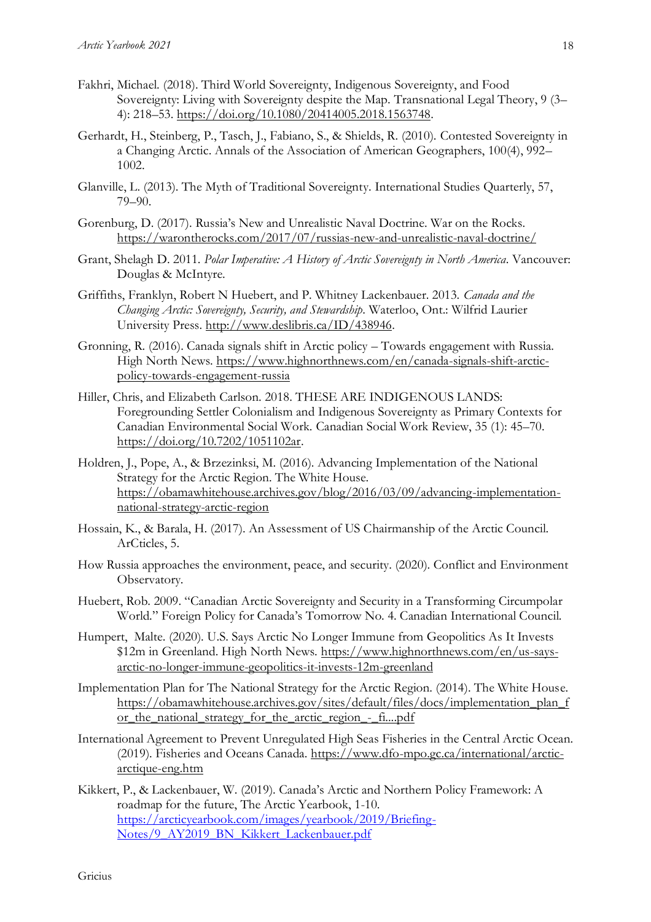- Fakhri, Michael. (2018). Third World Sovereignty, Indigenous Sovereignty, and Food Sovereignty: Living with Sovereignty despite the Map. Transnational Legal Theory, 9 (3– 4): 218–53. [https://doi.org/10.1080/20414005.2018.1563748.](https://doi.org/10.1080/20414005.2018.1563748)
- Gerhardt, H., Steinberg, P., Tasch, J., Fabiano, S., & Shields, R. (2010). Contested Sovereignty in a Changing Arctic. Annals of the Association of American Geographers, 100(4), 992– 1002.
- Glanville, L. (2013). The Myth of Traditional Sovereignty. International Studies Quarterly, 57, 79–90.
- Gorenburg, D. (2017). Russia's New and Unrealistic Naval Doctrine. War on the Rocks. <https://warontherocks.com/2017/07/russias-new-and-unrealistic-naval-doctrine/>
- Grant, Shelagh D. 2011. *Polar Imperative: A History of Arctic Sovereignty in North America*. Vancouver: Douglas & McIntyre.
- Griffiths, Franklyn, Robert N Huebert, and P. Whitney Lackenbauer. 2013. *Canada and the Changing Arctic: Sovereignty, Security, and Stewardship*. Waterloo, Ont.: Wilfrid Laurier University Press. [http://www.deslibris.ca/ID/438946.](http://www.deslibris.ca/ID/438946)
- Gronning, R. (2016). Canada signals shift in Arctic policy Towards engagement with Russia. High North News. [https://www.highnorthnews.com/en/canada-signals-shift-arctic](https://www.highnorthnews.com/en/canada-signals-shift-arctic-policy-towards-engagement-russia)[policy-towards-engagement-russia](https://www.highnorthnews.com/en/canada-signals-shift-arctic-policy-towards-engagement-russia)
- Hiller, Chris, and Elizabeth Carlson. 2018. THESE ARE INDIGENOUS LANDS: Foregrounding Settler Colonialism and Indigenous Sovereignty as Primary Contexts for Canadian Environmental Social Work. Canadian Social Work Review, 35 (1): 45–70. [https://doi.org/10.7202/1051102ar.](https://doi.org/10.7202/1051102ar)
- Holdren, J., Pope, A., & Brzezinksi, M. (2016). Advancing Implementation of the National Strategy for the Arctic Region. The White House. [https://obamawhitehouse.archives.gov/blog/2016/03/09/advancing-implementation](https://obamawhitehouse.archives.gov/blog/2016/03/09/advancing-implementation-national-strategy-arctic-region)[national-strategy-arctic-region](https://obamawhitehouse.archives.gov/blog/2016/03/09/advancing-implementation-national-strategy-arctic-region)
- Hossain, K., & Barala, H. (2017). An Assessment of US Chairmanship of the Arctic Council. ArCticles, 5.
- How Russia approaches the environment, peace, and security. (2020). Conflict and Environment Observatory.
- Huebert, Rob. 2009. "Canadian Arctic Sovereignty and Security in a Transforming Circumpolar World." Foreign Policy for Canada's Tomorrow No. 4. Canadian International Council.
- Humpert, Malte. (2020). U.S. Says Arctic No Longer Immune from Geopolitics As It Invests \$12m in Greenland. High North News. [https://www.highnorthnews.com/en/us-says](https://www.highnorthnews.com/en/us-says-arctic-no-longer-immune-geopolitics-it-invests-12m-greenland)[arctic-no-longer-immune-geopolitics-it-invests-12m-greenland](https://www.highnorthnews.com/en/us-says-arctic-no-longer-immune-geopolitics-it-invests-12m-greenland)
- Implementation Plan for The National Strategy for the Arctic Region. (2014). The White House. [https://obamawhitehouse.archives.gov/sites/default/files/docs/implementation\\_plan\\_f](https://obamawhitehouse.archives.gov/sites/default/files/docs/implementation_plan_for_the_national_strategy_for_the_arctic_region_-_fi....pdf) or the national strategy for the arctic region - fi....pdf
- International Agreement to Prevent Unregulated High Seas Fisheries in the Central Arctic Ocean. (2019). Fisheries and Oceans Canada. [https://www.dfo-mpo.gc.ca/international/arctic](https://www.dfo-mpo.gc.ca/international/arctic-arctique-eng.htm)[arctique-eng.htm](https://www.dfo-mpo.gc.ca/international/arctic-arctique-eng.htm)
- Kikkert, P., & Lackenbauer, W. (2019). Canada's Arctic and Northern Policy Framework: A roadmap for the future, The Arctic Yearbook, 1-10. [https://arcticyearbook.com/images/yearbook/2019/Briefing-](https://arcticyearbook.com/images/yearbook/2019/Briefing-Notes/9_AY2019_BN_Kikkert_Lackenbauer.pdf)[Notes/9\\_AY2019\\_BN\\_Kikkert\\_Lackenbauer.pdf](https://arcticyearbook.com/images/yearbook/2019/Briefing-Notes/9_AY2019_BN_Kikkert_Lackenbauer.pdf)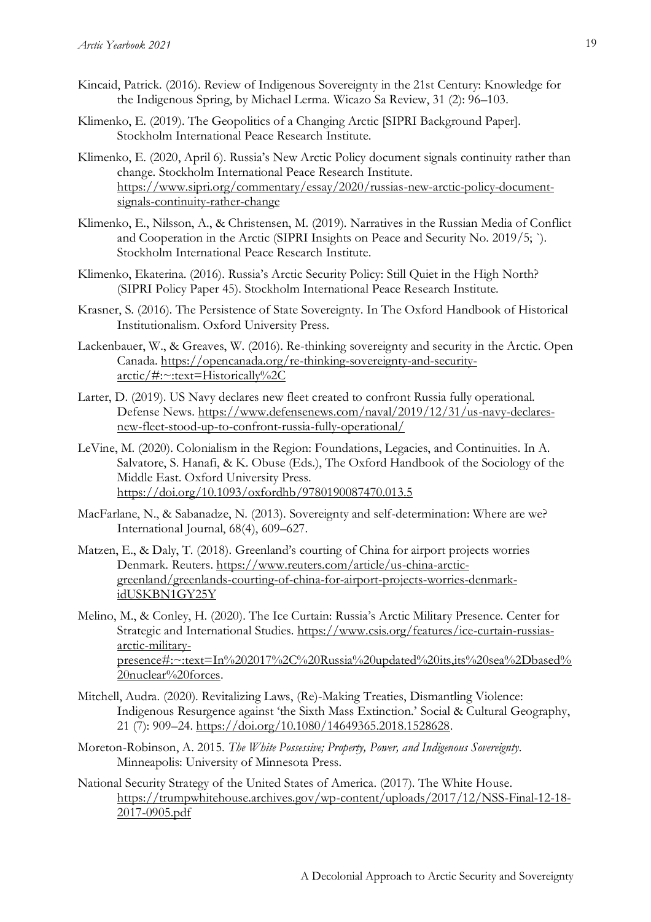- Kincaid, Patrick. (2016). Review of Indigenous Sovereignty in the 21st Century: Knowledge for the Indigenous Spring, by Michael Lerma. Wicazo Sa Review, 31 (2): 96–103.
- Klimenko, E. (2019). The Geopolitics of a Changing Arctic [SIPRI Background Paper]. Stockholm International Peace Research Institute.
- Klimenko, E. (2020, April 6). Russia's New Arctic Policy document signals continuity rather than change. Stockholm International Peace Research Institute. [https://www.sipri.org/commentary/essay/2020/russias-new-arctic-policy-document](https://www.sipri.org/commentary/essay/2020/russias-new-arctic-policy-document-signals-continuity-rather-change)[signals-continuity-rather-change](https://www.sipri.org/commentary/essay/2020/russias-new-arctic-policy-document-signals-continuity-rather-change)
- Klimenko, E., Nilsson, A., & Christensen, M. (2019). Narratives in the Russian Media of Conflict and Cooperation in the Arctic (SIPRI Insights on Peace and Security No. 2019/5; `). Stockholm International Peace Research Institute.
- Klimenko, Ekaterina. (2016). Russia's Arctic Security Policy: Still Quiet in the High North? (SIPRI Policy Paper 45). Stockholm International Peace Research Institute.
- Krasner, S. (2016). The Persistence of State Sovereignty. In The Oxford Handbook of Historical Institutionalism. Oxford University Press.
- Lackenbauer, W., & Greaves, W. (2016). Re-thinking sovereignty and security in the Arctic. Open Canada. [https://opencanada.org/re-thinking-sovereignty-and-security](https://opencanada.org/re-thinking-sovereignty-and-security-arctic/#:~:text=Historically%2C)[arctic/#:~:text=Historically%2C](https://opencanada.org/re-thinking-sovereignty-and-security-arctic/#:~:text=Historically%2C)
- Larter, D. (2019). US Navy declares new fleet created to confront Russia fully operational. Defense News. [https://www.defensenews.com/naval/2019/12/31/us-navy-declares](https://www.defensenews.com/naval/2019/12/31/us-navy-declares-new-fleet-stood-up-to-confront-russia-fully-operational/)[new-fleet-stood-up-to-confront-russia-fully-operational/](https://www.defensenews.com/naval/2019/12/31/us-navy-declares-new-fleet-stood-up-to-confront-russia-fully-operational/)
- LeVine, M. (2020). Colonialism in the Region: Foundations, Legacies, and Continuities. In A. Salvatore, S. Hanafi, & K. Obuse (Eds.), The Oxford Handbook of the Sociology of the Middle East. Oxford University Press. <https://doi.org/10.1093/oxfordhb/9780190087470.013.5>
- MacFarlane, N., & Sabanadze, N. (2013). Sovereignty and self-determination: Where are we? International Journal, 68(4), 609–627.
- Matzen, E., & Daly, T. (2018). Greenland's courting of China for airport projects worries Denmark. Reuters. [https://www.reuters.com/article/us-china-arctic](https://www.reuters.com/article/us-china-arctic-greenland/greenlands-courting-of-china-for-airport-projects-worries-denmark-idUSKBN1GY25Y)[greenland/greenlands-courting-of-china-for-airport-projects-worries-denmark](https://www.reuters.com/article/us-china-arctic-greenland/greenlands-courting-of-china-for-airport-projects-worries-denmark-idUSKBN1GY25Y)[idUSKBN1GY25Y](https://www.reuters.com/article/us-china-arctic-greenland/greenlands-courting-of-china-for-airport-projects-worries-denmark-idUSKBN1GY25Y)
- Melino, M., & Conley, H. (2020). The Ice Curtain: Russia's Arctic Military Presence. Center for Strategic and International Studies. [https://www.csis.org/features/ice-curtain-russias](https://www.csis.org/features/ice-curtain-russias-arctic-military-presence#:~:text=In%202017%2C%20Russia%20updated%20its,its%20sea%2Dbased%20nuclear%20forces)[arctic-military](https://www.csis.org/features/ice-curtain-russias-arctic-military-presence#:~:text=In%202017%2C%20Russia%20updated%20its,its%20sea%2Dbased%20nuclear%20forces)[presence#:~:text=In%202017%2C%20Russia%20updated%20its,its%20sea%2Dbased%](https://www.csis.org/features/ice-curtain-russias-arctic-military-presence#:~:text=In%202017%2C%20Russia%20updated%20its,its%20sea%2Dbased%20nuclear%20forces) [20nuclear%20forces.](https://www.csis.org/features/ice-curtain-russias-arctic-military-presence#:~:text=In%202017%2C%20Russia%20updated%20its,its%20sea%2Dbased%20nuclear%20forces)
- Mitchell, Audra. (2020). Revitalizing Laws, (Re)-Making Treaties, Dismantling Violence: Indigenous Resurgence against 'the Sixth Mass Extinction.' Social & Cultural Geography, 21 (7): 909–24. [https://doi.org/10.1080/14649365.2018.1528628.](https://doi.org/10.1080/14649365.2018.1528628)
- Moreton-Robinson, A. 2015. *The White Possessive; Property, Power, and Indigenous Sovereignty*. Minneapolis: University of Minnesota Press.
- National Security Strategy of the United States of America. (2017). The White House. [https://trumpwhitehouse.archives.gov/wp-content/uploads/2017/12/NSS-Final-12-18-](https://trumpwhitehouse.archives.gov/wp-content/uploads/2017/12/NSS-Final-12-18-2017-0905.pdf) [2017-0905.pdf](https://trumpwhitehouse.archives.gov/wp-content/uploads/2017/12/NSS-Final-12-18-2017-0905.pdf)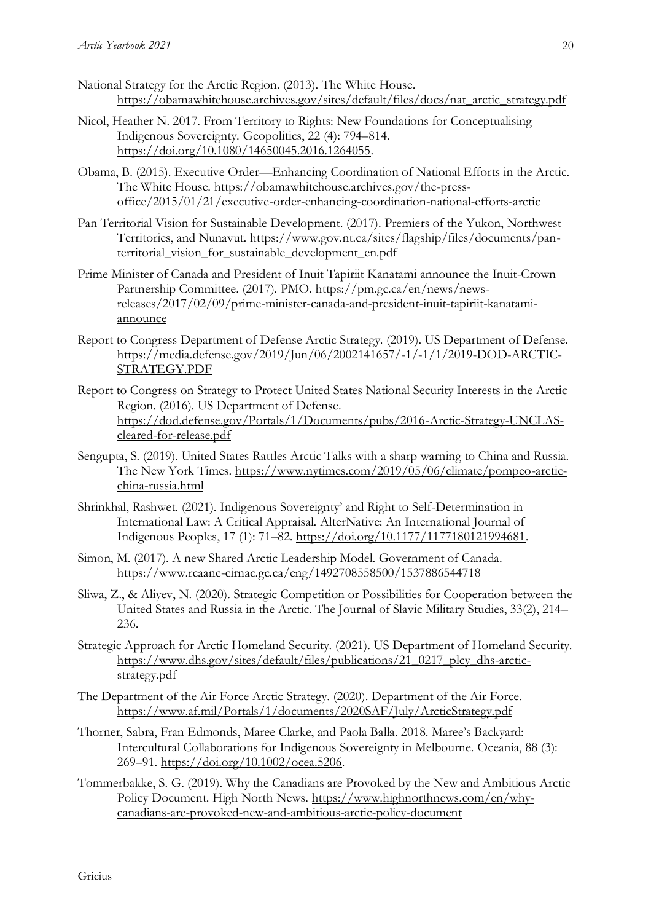- National Strategy for the Arctic Region. (2013). The White House. [https://obamawhitehouse.archives.gov/sites/default/files/docs/nat\\_arctic\\_strategy.pdf](https://obamawhitehouse.archives.gov/sites/default/files/docs/nat_arctic_strategy.pdf)
- Nicol, Heather N. 2017. From Territory to Rights: New Foundations for Conceptualising Indigenous Sovereignty. Geopolitics, 22 (4): 794–814. [https://doi.org/10.1080/14650045.2016.1264055.](https://doi.org/10.1080/14650045.2016.1264055)
- Obama, B. (2015). Executive Order—Enhancing Coordination of National Efforts in the Arctic. The White House. [https://obamawhitehouse.archives.gov/the-press](https://obamawhitehouse.archives.gov/the-press-office/2015/01/21/executive-order-enhancing-coordination-national-efforts-arctic)[office/2015/01/21/executive-order-enhancing-coordination-national-efforts-arctic](https://obamawhitehouse.archives.gov/the-press-office/2015/01/21/executive-order-enhancing-coordination-national-efforts-arctic)
- Pan Territorial Vision for Sustainable Development. (2017). Premiers of the Yukon, Northwest Territories, and Nunavut. [https://www.gov.nt.ca/sites/flagship/files/documents/pan](https://www.gov.nt.ca/sites/flagship/files/documents/pan-territorial_vision_for_sustainable_development_en.pdf)[territorial\\_vision\\_for\\_sustainable\\_development\\_en.pdf](https://www.gov.nt.ca/sites/flagship/files/documents/pan-territorial_vision_for_sustainable_development_en.pdf)
- Prime Minister of Canada and President of Inuit Tapiriit Kanatami announce the Inuit-Crown Partnership Committee. (2017). PMO. [https://pm.gc.ca/en/news/news](https://pm.gc.ca/en/news/news-releases/2017/02/09/prime-minister-canada-and-president-inuit-tapiriit-kanatami-announce)[releases/2017/02/09/prime-minister-canada-and-president-inuit-tapiriit-kanatami](https://pm.gc.ca/en/news/news-releases/2017/02/09/prime-minister-canada-and-president-inuit-tapiriit-kanatami-announce)[announce](https://pm.gc.ca/en/news/news-releases/2017/02/09/prime-minister-canada-and-president-inuit-tapiriit-kanatami-announce)
- Report to Congress Department of Defense Arctic Strategy. (2019). US Department of Defense. [https://media.defense.gov/2019/Jun/06/2002141657/-1/-1/1/2019-DOD-ARCTIC-](https://media.defense.gov/2019/Jun/06/2002141657/-1/-1/1/2019-DOD-ARCTIC-STRATEGY.PDF)[STRATEGY.PDF](https://media.defense.gov/2019/Jun/06/2002141657/-1/-1/1/2019-DOD-ARCTIC-STRATEGY.PDF)
- Report to Congress on Strategy to Protect United States National Security Interests in the Arctic Region. (2016). US Department of Defense. [https://dod.defense.gov/Portals/1/Documents/pubs/2016-Arctic-Strategy-UNCLAS](https://dod.defense.gov/Portals/1/Documents/pubs/2016-Arctic-Strategy-UNCLAS-cleared-for-release.pdf)[cleared-for-release.pdf](https://dod.defense.gov/Portals/1/Documents/pubs/2016-Arctic-Strategy-UNCLAS-cleared-for-release.pdf)
- Sengupta, S. (2019). United States Rattles Arctic Talks with a sharp warning to China and Russia. The New York Times. [https://www.nytimes.com/2019/05/06/climate/pompeo-arctic](https://www.nytimes.com/2019/05/06/climate/pompeo-arctic-china-russia.html)[china-russia.html](https://www.nytimes.com/2019/05/06/climate/pompeo-arctic-china-russia.html)
- Shrinkhal, Rashwet. (2021). Indigenous Sovereignty' and Right to Self-Determination in International Law: A Critical Appraisal. AlterNative: An International Journal of Indigenous Peoples, 17 (1): 71–82. [https://doi.org/10.1177/1177180121994681.](https://doi.org/10.1177/1177180121994681)
- Simon, M. (2017). A new Shared Arctic Leadership Model. Government of Canada. <https://www.rcaanc-cirnac.gc.ca/eng/1492708558500/1537886544718>
- Sliwa, Z., & Aliyev, N. (2020). Strategic Competition or Possibilities for Cooperation between the United States and Russia in the Arctic. The Journal of Slavic Military Studies, 33(2), 214– 236.
- Strategic Approach for Arctic Homeland Security. (2021). US Department of Homeland Security. [https://www.dhs.gov/sites/default/files/publications/21\\_0217\\_plcy\\_dhs-arctic](https://www.dhs.gov/sites/default/files/publications/21_0217_plcy_dhs-arctic-strategy.pdf)[strategy.pdf](https://www.dhs.gov/sites/default/files/publications/21_0217_plcy_dhs-arctic-strategy.pdf)
- The Department of the Air Force Arctic Strategy. (2020). Department of the Air Force. <https://www.af.mil/Portals/1/documents/2020SAF/July/ArcticStrategy.pdf>
- Thorner, Sabra, Fran Edmonds, Maree Clarke, and Paola Balla. 2018. Maree's Backyard: Intercultural Collaborations for Indigenous Sovereignty in Melbourne. Oceania, 88 (3): 269–91. [https://doi.org/10.1002/ocea.5206.](https://doi.org/10.1002/ocea.5206)
- Tommerbakke, S. G. (2019). Why the Canadians are Provoked by the New and Ambitious Arctic Policy Document. High North News. [https://www.highnorthnews.com/en/why](https://www.highnorthnews.com/en/why-canadians-are-provoked-new-and-ambitious-arctic-policy-document)[canadians-are-provoked-new-and-ambitious-arctic-policy-document](https://www.highnorthnews.com/en/why-canadians-are-provoked-new-and-ambitious-arctic-policy-document)